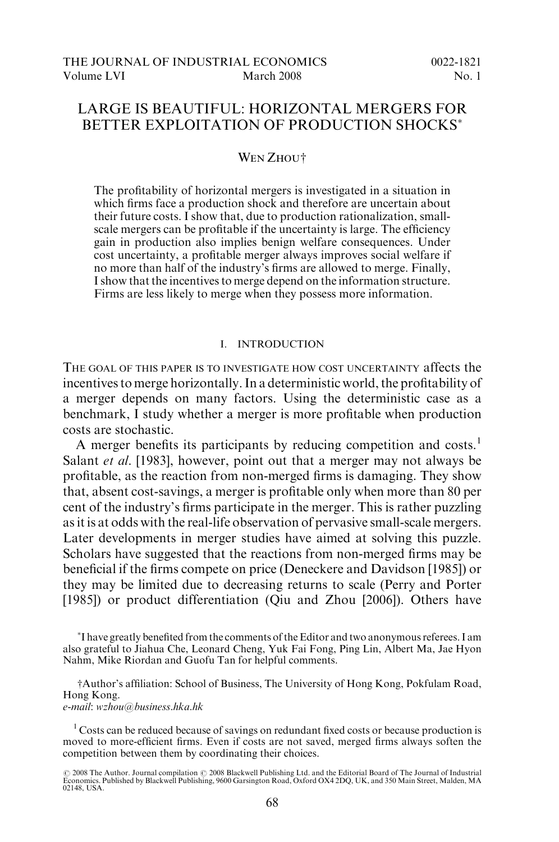# LARGE IS BEAUTIFUL: HORIZONTAL MERGERS FOR BETTER EXPLOITATION OF PRODUCTION SHOCKS

### WEN ZHOUT

The profitability of horizontal mergers is investigated in a situation in which firms face a production shock and therefore are uncertain about their future costs. I show that, due to production rationalization, smallscale mergers can be profitable if the uncertainty is large. The efficiency gain in production also implies benign welfare consequences. Under cost uncertainty, a profitable merger always improves social welfare if no more than half of the industry's firms are allowed to merge. Finally, I show that the incentives to merge depend on the information structure. Firms are less likely to merge when they possess more information.

## I. INTRODUCTION

THE GOAL OF THIS PAPER IS TO INVESTIGATE HOW COST UNCERTAINTY affects the incentives to merge horizontally. In a deterministic world, the profitability of a merger depends on many factors. Using the deterministic case as a benchmark, I study whether a merger is more profitable when production costs are stochastic.

A merger benefits its participants by reducing competition and costs.<sup>1</sup> Salant *et al.* [1983], however, point out that a merger may not always be profitable, as the reaction from non-merged firms is damaging. They show that, absent cost-savings, a merger is profitable only when more than 80 per cent of the industry's firms participate in the merger. This is rather puzzling as it is at odds with the real-life observation of pervasive small-scale mergers. Later developments in merger studies have aimed at solving this puzzle. Scholars have suggested that the reactions from non-merged firms may be beneficial if the firms compete on price (Deneckere and Davidson [1985]) or they may be limited due to decreasing returns to scale (Perry and Porter [1985]) or product differentiation (Qiu and Zhou [2006]). Others have

 I have greatly benefited from the comments of the Editor and two anonymous referees. I am also grateful to Jiahua Che, Leonard Cheng, Yuk Fai Fong, Ping Lin, Albert Ma, Jae Hyon Nahm, Mike Riordan and Guofu Tan for helpful comments.

†Author's affiliation: School of Business, The University of Hong Kong, Pokfulam Road, Hong Kong.

e-mail: wzhou@business.hka.hk

<sup>1</sup> Costs can be reduced because of savings on redundant fixed costs or because production is moved to more-efficient firms. Even if costs are not saved, merged firms always soften the competition between them by coordinating their choices.

<sup>© 2008</sup> The Author. Journal compilation © 2008 Blackwell Publishing Ltd. and the Editorial Board of The Journal of Industrial<br>Economics. Published by Blackwell Publishing, 9600 Garsington Road, Oxford OX4 2DQ, UK, and 350 M 02148, USA.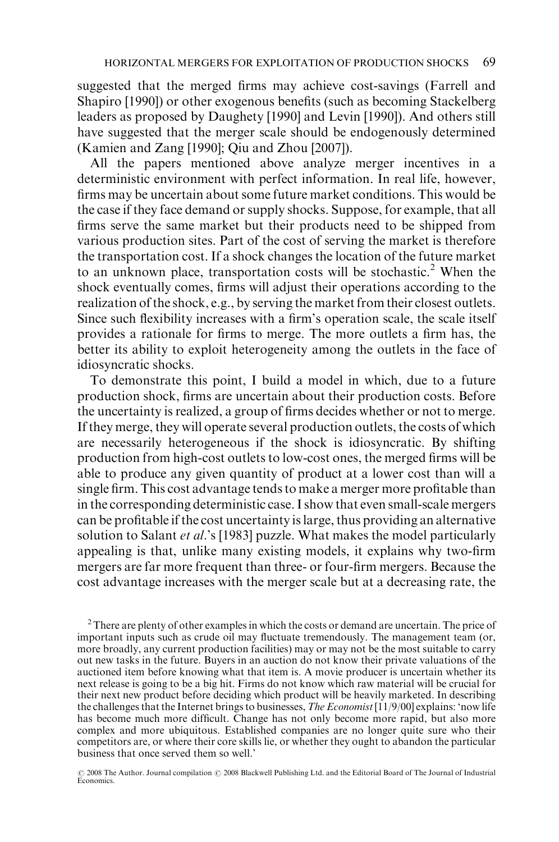suggested that the merged firms may achieve cost-savings (Farrell and Shapiro [1990]) or other exogenous benefits (such as becoming Stackelberg leaders as proposed by Daughety [1990] and Levin [1990]). And others still have suggested that the merger scale should be endogenously determined (Kamien and Zang [1990]; Qiu and Zhou [2007]).

All the papers mentioned above analyze merger incentives in a deterministic environment with perfect information. In real life, however, firms may be uncertain about some future market conditions. This would be the case if they face demand or supply shocks. Suppose, for example, that all firms serve the same market but their products need to be shipped from various production sites. Part of the cost of serving the market is therefore the transportation cost. If a shock changes the location of the future market to an unknown place, transportation costs will be stochastic.<sup>2</sup> When the shock eventually comes, firms will adjust their operations according to the realization of the shock, e.g., by serving the market from their closest outlets. Since such flexibility increases with a firm's operation scale, the scale itself provides a rationale for firms to merge. The more outlets a firm has, the better its ability to exploit heterogeneity among the outlets in the face of idiosyncratic shocks.

To demonstrate this point, I build a model in which, due to a future production shock, firms are uncertain about their production costs. Before the uncertainty is realized, a group of firms decides whether or not to merge. If they merge, they will operate several production outlets, the costs of which are necessarily heterogeneous if the shock is idiosyncratic. By shifting production from high-cost outlets to low-cost ones, the merged firms will be able to produce any given quantity of product at a lower cost than will a single firm. This cost advantage tends to make a merger more profitable than in the corresponding deterministic case. I show that even small-scale mergers can be profitable if the cost uncertainty is large, thus providing an alternative solution to Salant *et al.*'s [1983] puzzle. What makes the model particularly appealing is that, unlike many existing models, it explains why two-firm mergers are far more frequent than three- or four-firm mergers. Because the cost advantage increases with the merger scale but at a decreasing rate, the

 $2$  There are plenty of other examples in which the costs or demand are uncertain. The price of important inputs such as crude oil may fluctuate tremendously. The management team (or, more broadly, any current production facilities) may or may not be the most suitable to carry out new tasks in the future. Buyers in an auction do not know their private valuations of the auctioned item before knowing what that item is. A movie producer is uncertain whether its next release is going to be a big hit. Firms do not know which raw material will be crucial for their next new product before deciding which product will be heavily marketed. In describing the challenges that the Internet brings to businesses, The Economist [11/9/00] explains: 'now life has become much more difficult. Change has not only become more rapid, but also more complex and more ubiquitous. Established companies are no longer quite sure who their competitors are, or where their core skills lie, or whether they ought to abandon the particular business that once served them so well.'

© 2008 The Author. Journal compilation © 2008 Blackwell Publishing Ltd. and the Editorial Board of The Journal of Industrial<br>Economics.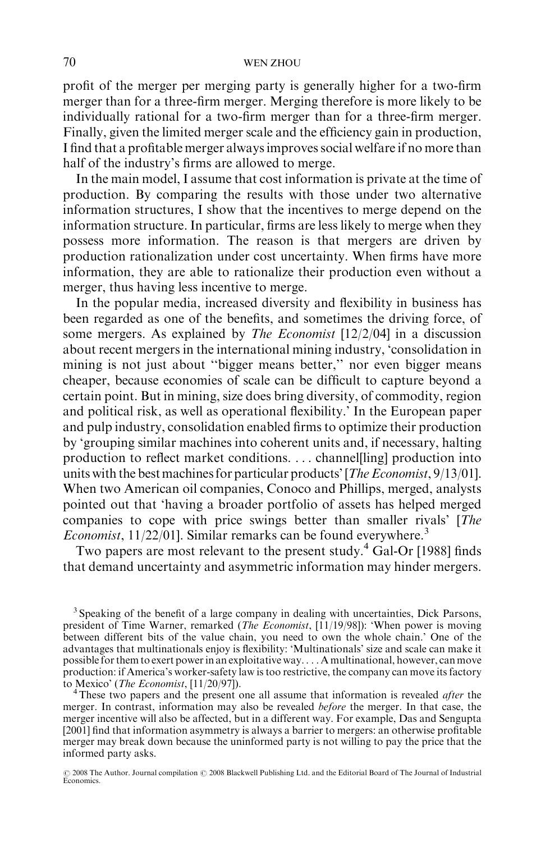profit of the merger per merging party is generally higher for a two-firm merger than for a three-firm merger. Merging therefore is more likely to be individually rational for a two-firm merger than for a three-firm merger. Finally, given the limited merger scale and the efficiency gain in production, I find that a profitable merger always improves social welfare if no more than half of the industry's firms are allowed to merge.

In the main model, I assume that cost information is private at the time of production. By comparing the results with those under two alternative information structures, I show that the incentives to merge depend on the information structure. In particular, firms are less likely to merge when they possess more information. The reason is that mergers are driven by production rationalization under cost uncertainty. When firms have more information, they are able to rationalize their production even without a merger, thus having less incentive to merge.

In the popular media, increased diversity and flexibility in business has been regarded as one of the benefits, and sometimes the driving force, of some mergers. As explained by The Economist [12/2/04] in a discussion about recent mergers in the international mining industry, 'consolidation in mining is not just about ''bigger means better,'' nor even bigger means cheaper, because economies of scale can be difficult to capture beyond a certain point. But in mining, size does bring diversity, of commodity, region and political risk, as well as operational flexibility.' In the European paper and pulp industry, consolidation enabled firms to optimize their production by 'grouping similar machines into coherent units and, if necessary, halting production to reflect market conditions. . . . channel[ling] production into units with the best machines for particular products' [*The Economist*, 9/13/01]. When two American oil companies, Conoco and Phillips, merged, analysts pointed out that 'having a broader portfolio of assets has helped merged companies to cope with price swings better than smaller rivals' [The *Economist*, 11/22/01]. Similar remarks can be found everywhere.<sup>3</sup>

Two papers are most relevant to the present study. $^{4}$  Gal-Or [1988] finds that demand uncertainty and asymmetric information may hinder mergers.

<sup>3</sup> Speaking of the benefit of a large company in dealing with uncertainties, Dick Parsons, president of Time Warner, remarked (*The Economist*, [11/19/98]): 'When power is moving between different bits of the value chain, you need to own the whole chain.' One of the advantages that multinationals enjoy is flexibility: 'Multinationals' size and scale can make it possible for them to exert power in an exploitative way. . . . A multinational, however, can move production: if America's worker-safety law is too restrictive, the company can move its factory to Mexico' (*The Economist*, [11/20/97]).

<sup>4</sup>These two papers and the present one all assume that information is revealed *after* the merger. In contrast, information may also be revealed *before* the merger. In that case, the merger incentive will also be affected, but in a different way. For example, Das and Sengupta [2001] find that information asymmetry is always a barrier to mergers: an otherwise profitable merger may break down because the uninformed party is not willing to pay the price that the informed party asks.

© 2008 The Author. Journal compilation © 2008 Blackwell Publishing Ltd. and the Editorial Board of The Journal of Industrial<br>Economics.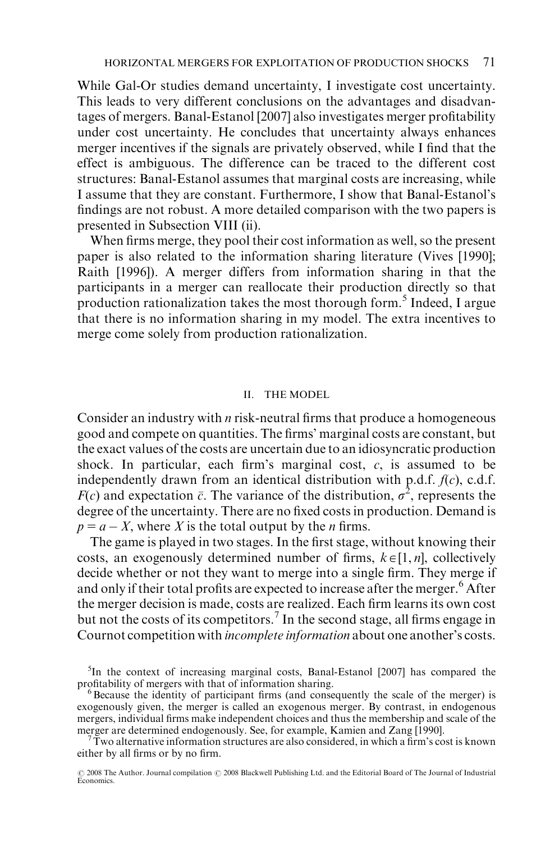While Gal-Or studies demand uncertainty, I investigate cost uncertainty. This leads to very different conclusions on the advantages and disadvantages of mergers. Banal-Estanol [2007] also investigates merger profitability under cost uncertainty. He concludes that uncertainty always enhances merger incentives if the signals are privately observed, while I find that the effect is ambiguous. The difference can be traced to the different cost structures: Banal-Estanol assumes that marginal costs are increasing, while I assume that they are constant. Furthermore, I show that Banal-Estanol's findings are not robust. A more detailed comparison with the two papers is presented in Subsection VIII (ii).

When firms merge, they pool their cost information as well, so the present paper is also related to the information sharing literature (Vives [1990]; Raith [1996]). A merger differs from information sharing in that the participants in a merger can reallocate their production directly so that production rationalization takes the most thorough form.<sup>5</sup> Indeed, I argue that there is no information sharing in my model. The extra incentives to merge come solely from production rationalization.

#### II. THE MODEL

Consider an industry with  $n$  risk-neutral firms that produce a homogeneous good and compete on quantities. The firms' marginal costs are constant, but the exact values of the costs are uncertain due to an idiosyncratic production shock. In particular, each firm's marginal cost,  $c$ , is assumed to be independently drawn from an identical distribution with p.d.f.  $f(c)$ , c.d.f.  $F(c)$  and expectation  $\bar{c}$ . The variance of the distribution,  $\sigma^2$ , represents the degree of the uncertainty. There are no fixed costs in production. Demand is  $p = a - X$ , where X is the total output by the *n* firms.

The game is played in two stages. In the first stage, without knowing their costs, an exogenously determined number of firms,  $k \in [1, n]$ , collectively decide whether or not they want to merge into a single firm. They merge if and only if their total profits are expected to increase after the merger.<sup>6</sup> After the merger decision is made, costs are realized. Each firm learns its own cost but not the costs of its competitors.<sup>7</sup> In the second stage, all firms engage in Cournot competition with incomplete information about one another's costs.

<sup>&</sup>lt;sup>5</sup>In the context of increasing marginal costs, Banal-Estanol [2007] has compared the profitability of mergers with that of information sharing.<br><sup>6</sup>Because the identity of participant firms (and consequently the scale of the merger) is

exogenously given, the merger is called an exogenous merger. By contrast, in endogenous mergers, individual firms make independent choices and thus the membership and scale of the merger are determined endogenously. See, for example, Kamien and Zang [1990].

Two alternative information structures are also considered, in which a firm's cost is known either by all firms or by no firm.

<sup>© 2008</sup> The Author. Journal compilation © 2008 Blackwell Publishing Ltd. and the Editorial Board of The Journal of Industrial<br>Economics.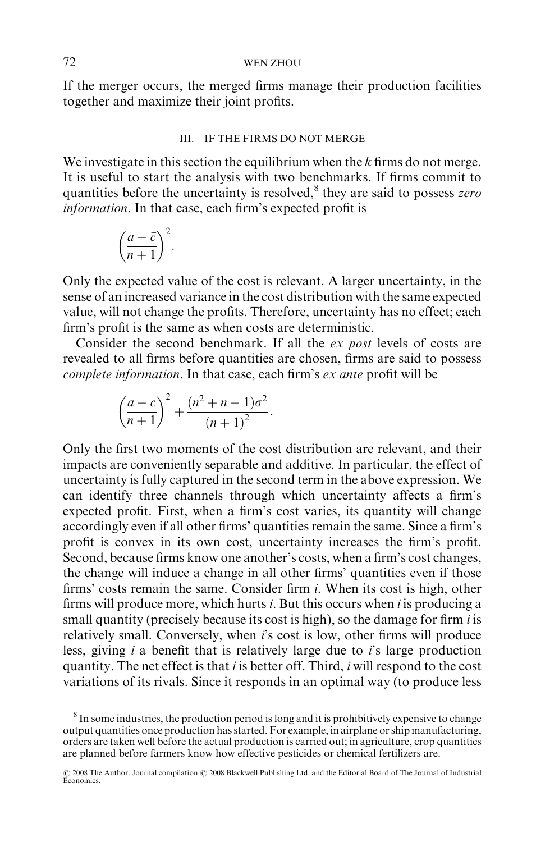If the merger occurs, the merged firms manage their production facilities together and maximize their joint profits.

#### III. IF THE FIRMS DO NOT MERGE

We investigate in this section the equilibrium when the  $k$  firms do not merge. It is useful to start the analysis with two benchmarks. If firms commit to quantities before the uncertainty is resolved, $8$  they are said to possess zero information. In that case, each firm's expected profit is

$$
\left(\frac{a-\bar{c}}{n+1}\right)^2.
$$

Only the expected value of the cost is relevant. A larger uncertainty, in the sense of an increased variance in the cost distribution with the same expected value, will not change the profits. Therefore, uncertainty has no effect; each firm's profit is the same as when costs are deterministic.

Consider the second benchmark. If all the ex post levels of costs are revealed to all firms before quantities are chosen, firms are said to possess complete information. In that case, each firm's ex ante profit will be

$$
\left(\frac{a-\bar{c}}{n+1}\right)^2+\frac{(n^2+n-1)\sigma^2}{(n+1)^2}.
$$

Only the first two moments of the cost distribution are relevant, and their impacts are conveniently separable and additive. In particular, the effect of uncertainty is fully captured in the second term in the above expression. We can identify three channels through which uncertainty affects a firm's expected profit. First, when a firm's cost varies, its quantity will change accordingly even if all other firms' quantities remain the same. Since a firm's profit is convex in its own cost, uncertainty increases the firm's profit. Second, because firms know one another's costs, when a firm's cost changes, the change will induce a change in all other firms' quantities even if those firms' costs remain the same. Consider firm i. When its cost is high, other firms will produce more, which hurts  $i$ . But this occurs when  $i$  is producing a small quantity (precisely because its cost is high), so the damage for firm *i* is relatively small. Conversely, when  $i$ 's cost is low, other firms will produce less, giving  $i$  a benefit that is relatively large due to  $i$ 's large production quantity. The net effect is that  $i$  is better off. Third,  $i$  will respond to the cost variations of its rivals. Since it responds in an optimal way (to produce less

<sup>&</sup>lt;sup>8</sup> In some industries, the production period is long and it is prohibitively expensive to change output quantities once production has started. For example, in airplane or ship manufacturing, orders are taken well before the actual production is carried out; in agriculture, crop quantities are planned before farmers know how effective pesticides or chemical fertilizers are.

<sup>© 2008</sup> The Author. Journal compilation © 2008 Blackwell Publishing Ltd. and the Editorial Board of The Journal of Industrial<br>Economics.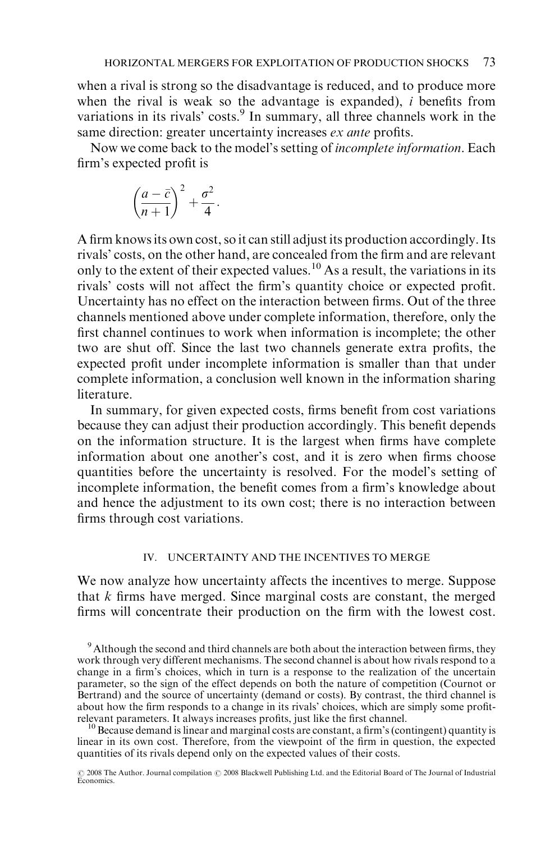when a rival is strong so the disadvantage is reduced, and to produce more when the rival is weak so the advantage is expanded),  $i$  benefits from variations in its rivals' costs.<sup>9</sup> In summary, all three channels work in the same direction: greater uncertainty increases *ex ante* profits.

Now we come back to the model's setting of incomplete information. Each firm's expected profit is

$$
\left(\frac{a-\bar{c}}{n+1}\right)^2+\frac{\sigma^2}{4}.
$$

A firm knows its own cost, so it can still adjust its production accordingly. Its rivals' costs, on the other hand, are concealed from the firm and are relevant only to the extent of their expected values.<sup>10</sup> As a result, the variations in its rivals' costs will not affect the firm's quantity choice or expected profit. Uncertainty has no effect on the interaction between firms. Out of the three channels mentioned above under complete information, therefore, only the first channel continues to work when information is incomplete; the other two are shut off. Since the last two channels generate extra profits, the expected profit under incomplete information is smaller than that under complete information, a conclusion well known in the information sharing literature.

In summary, for given expected costs, firms benefit from cost variations because they can adjust their production accordingly. This benefit depends on the information structure. It is the largest when firms have complete information about one another's cost, and it is zero when firms choose quantities before the uncertainty is resolved. For the model's setting of incomplete information, the benefit comes from a firm's knowledge about and hence the adjustment to its own cost; there is no interaction between firms through cost variations.

## IV. UNCERTAINTY AND THE INCENTIVES TO MERGE

We now analyze how uncertainty affects the incentives to merge. Suppose that  $k$  firms have merged. Since marginal costs are constant, the merged firms will concentrate their production on the firm with the lowest cost.

 $10$  Because demand is linear and marginal costs are constant, a firm's (contingent) quantity is linear in its own cost. Therefore, from the viewpoint of the firm in question, the expected quantities of its rivals depend only on the expected values of their costs.

<sup>&</sup>lt;sup>9</sup> Although the second and third channels are both about the interaction between firms, they work through very different mechanisms. The second channel is about how rivals respond to a change in a firm's choices, which in turn is a response to the realization of the uncertain parameter, so the sign of the effect depends on both the nature of competition (Cournot or Bertrand) and the source of uncertainty (demand or costs). By contrast, the third channel is about how the firm responds to a change in its rivals' choices, which are simply some profit-<br>relevant parameters. It always increases profits, just like the first channel.

<sup>© 2008</sup> The Author. Journal compilation © 2008 Blackwell Publishing Ltd. and the Editorial Board of The Journal of Industrial<br>Economics.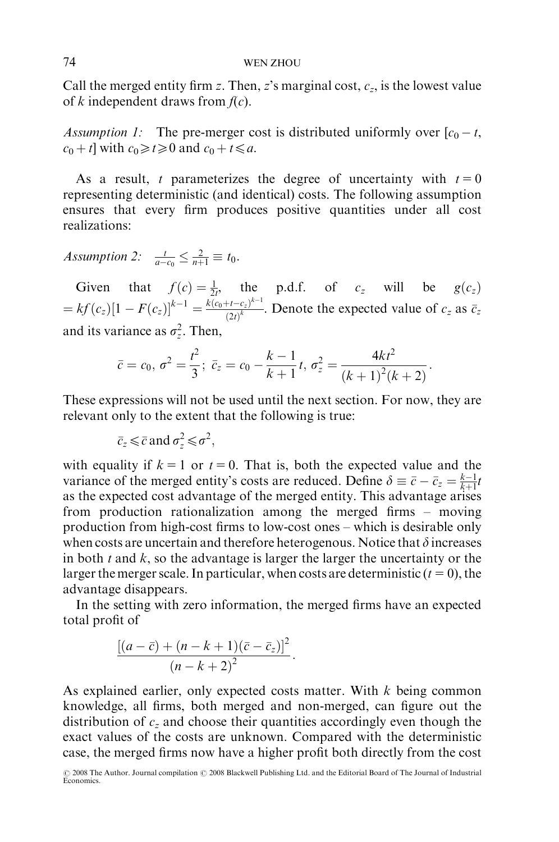Call the merged entity firm z. Then, z's marginal cost,  $c_z$ , is the lowest value of k independent draws from  $f(c)$ .

Assumption 1: The pre-merger cost is distributed uniformly over  $[c_0 - t,$  $c_0 + t$ ] with  $c_0 \ge t \ge 0$  and  $c_0 + t \le a$ .

As a result, t parameterizes the degree of uncertainty with  $t = 0$ representing deterministic (and identical) costs. The following assumption ensures that every firm produces positive quantities under all cost realizations:

Assumption 2:  $\frac{t}{a-c_0} \leq \frac{2}{n+1} \equiv t_0$ .

Given that  $f(c) = \frac{1}{2t}$ , the p.d.f. of  $c_z$  will be  $g(c_z)$  $=k f(c_z)[1 - F(c_z)]^{k-1} = \frac{k(c_0 + t - c_z)^{k-1}}{(2i)^k}$  $\frac{e^{i t - c_z}}{(2t)^k}$ . Denote the expected value of  $c_z$  as  $\bar{c}_z$ . and its variance as  $\sigma_z^2$ . Then,

$$
\bar{c} = c_0, \ \sigma^2 = \frac{t^2}{3}; \ \bar{c}_z = c_0 - \frac{k-1}{k+1}t, \ \sigma_z^2 = \frac{4kt^2}{(k+1)^2(k+2)}.
$$

These expressions will not be used until the next section. For now, they are relevant only to the extent that the following is true:

$$
\bar{c}_z \leq \bar{c} \text{ and } \sigma_z^2 \leq \sigma^2,
$$

with equality if  $k = 1$  or  $t = 0$ . That is, both the expected value and the variance of the merged entity's costs are reduced. Define  $\delta \equiv \bar{c} - \bar{c}_z = \frac{k-1}{k+1}t$ as the expected cost advantage of the merged entity. This advantage arises from production rationalization among the merged firms – moving production from high-cost firms to low-cost ones – which is desirable only when costs are uncertain and therefore heterogenous. Notice that  $\delta$  increases in both  $t$  and  $k$ , so the advantage is larger the larger the uncertainty or the larger the merger scale. In particular, when costs are deterministic  $(t = 0)$ , the advantage disappears.

In the setting with zero information, the merged firms have an expected total profit of

$$
\frac{\left[(a-\overline{c})+(n-k+1)(\overline{c}-\overline{c}_z)\right]^2}{(n-k+2)^2}.
$$

As explained earlier, only expected costs matter. With  $k$  being common knowledge, all firms, both merged and non-merged, can figure out the distribution of  $c<sub>z</sub>$  and choose their quantities accordingly even though the exact values of the costs are unknown. Compared with the deterministic case, the merged firms now have a higher profit both directly from the cost

<sup>© 2008</sup> The Author. Journal compilation © 2008 Blackwell Publishing Ltd. and the Editorial Board of The Journal of Industrial<br>Economics.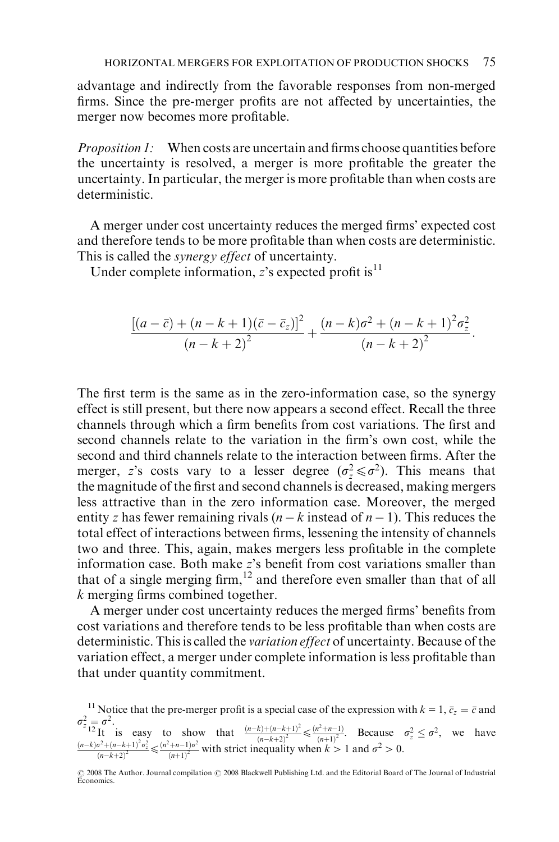advantage and indirectly from the favorable responses from non-merged firms. Since the pre-merger profits are not affected by uncertainties, the merger now becomes more profitable.

Proposition 1: When costs are uncertain and firms choose quantities before the uncertainty is resolved, a merger is more profitable the greater the uncertainty. In particular, the merger is more profitable than when costs are deterministic.

A merger under cost uncertainty reduces the merged firms' expected cost and therefore tends to be more profitable than when costs are deterministic. This is called the *synergy effect* of uncertainty.

Under complete information,  $z$ 's expected profit is<sup>11</sup>

$$
\frac{\left[ (a-\bar{c}) + (n-k+1)(\bar{c}-\bar{c}_z) \right]^2}{(n-k+2)^2} + \frac{(n-k)\sigma^2 + (n-k+1)^2\sigma_z^2}{(n-k+2)^2}.
$$

The first term is the same as in the zero-information case, so the synergy effect is still present, but there now appears a second effect. Recall the three channels through which a firm benefits from cost variations. The first and second channels relate to the variation in the firm's own cost, while the second and third channels relate to the interaction between firms. After the merger, z's costs vary to a lesser degree  $(\sigma_z^2 \le \sigma^2)$ . This means that the magnitude of the first and second channels is decreased, making mergers less attractive than in the zero information case. Moreover, the merged entity z has fewer remaining rivals  $(n - k \text{ instead of } n - 1)$ . This reduces the total effect of interactions between firms, lessening the intensity of channels two and three. This, again, makes mergers less profitable in the complete information case. Both make z's benefit from cost variations smaller than that of a single merging firm,  $12$  and therefore even smaller than that of all k merging firms combined together.

A merger under cost uncertainty reduces the merged firms' benefits from cost variations and therefore tends to be less profitable than when costs are deterministic. This is called the variation effect of uncertainty. Because of the variation effect, a merger under complete information is less profitable than that under quantity commitment.

<sup>11</sup> Notice that the pre-merger profit is a special case of the expression with  $k = 1$ ,  $\bar{c}_z = \bar{c}$  and  $\sigma_z^2 = \sigma^2$ .<br>
<sup>2</sup>It is easy to show that  $\frac{(n-k)+(n-k+1)^2}{k}$ <sup>2</sup><sup>2</sup>12<sup>1</sup> is easy to show that  $\frac{(n-k)+(n-k+1)^2}{(n-k+2)^2} \le \frac{(n^2+n-1)}{(n-k+1)^2}$ . Because  $\sigma_z^2 \le \sigma^2$ , we have  $\frac{(n-k)\sigma^2+(n-k+1)^2\sigma_z^2}{(n-k+1)^2\sigma_z^2} \le \frac{(n^2+n-1)\sigma^2}{(n-k+1)^2\sigma_z^2}$  with strict inequality when  $k > 1$  and  $\sigma^2 >$  $\frac{(\sigma^2 + (n-k+1)^2 \sigma_z^2}{(n-k+2)^2} \leq \frac{(n^2+n-1)\sigma^2}{(n+1)^2}$  with strict inequality when  $k > 1$  and  $\sigma^2 > 0$ .

<sup>© 2008</sup> The Author. Journal compilation © 2008 Blackwell Publishing Ltd. and the Editorial Board of The Journal of Industrial<br>Economics.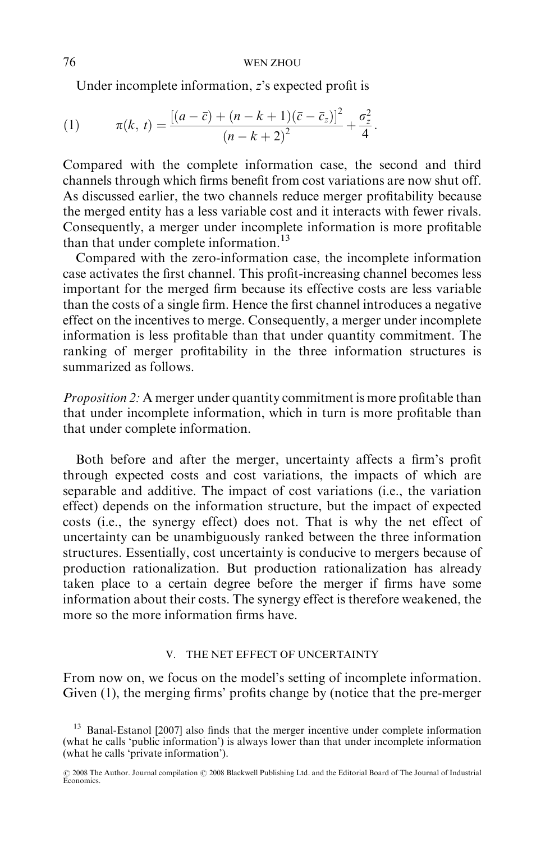Under incomplete information, z's expected profit is

(1) 
$$
\pi(k, t) = \frac{[(a - \bar{c}) + (n - k + 1)(\bar{c} - \bar{c}_z)]^2}{(n - k + 2)^2} + \frac{\sigma_z^2}{4}.
$$

Compared with the complete information case, the second and third channels through which firms benefit from cost variations are now shut off. As discussed earlier, the two channels reduce merger profitability because the merged entity has a less variable cost and it interacts with fewer rivals. Consequently, a merger under incomplete information is more profitable than that under complete information.<sup>13</sup>

Compared with the zero-information case, the incomplete information case activates the first channel. This profit-increasing channel becomes less important for the merged firm because its effective costs are less variable than the costs of a single firm. Hence the first channel introduces a negative effect on the incentives to merge. Consequently, a merger under incomplete information is less profitable than that under quantity commitment. The ranking of merger profitability in the three information structures is summarized as follows.

Proposition 2: A merger under quantity commitment is more profitable than that under incomplete information, which in turn is more profitable than that under complete information.

Both before and after the merger, uncertainty affects a firm's profit through expected costs and cost variations, the impacts of which are separable and additive. The impact of cost variations (i.e., the variation effect) depends on the information structure, but the impact of expected costs (i.e., the synergy effect) does not. That is why the net effect of uncertainty can be unambiguously ranked between the three information structures. Essentially, cost uncertainty is conducive to mergers because of production rationalization. But production rationalization has already taken place to a certain degree before the merger if firms have some information about their costs. The synergy effect is therefore weakened, the more so the more information firms have.

### V. THE NET EFFECT OF UNCERTAINTY

From now on, we focus on the model's setting of incomplete information. Given (1), the merging firms' profits change by (notice that the pre-merger

<sup>&</sup>lt;sup>13</sup> Banal-Estanol [2007] also finds that the merger incentive under complete information (what he calls 'public information') is always lower than that under incomplete information (what he calls 'private information').

<sup>© 2008</sup> The Author. Journal compilation © 2008 Blackwell Publishing Ltd. and the Editorial Board of The Journal of Industrial<br>Economics.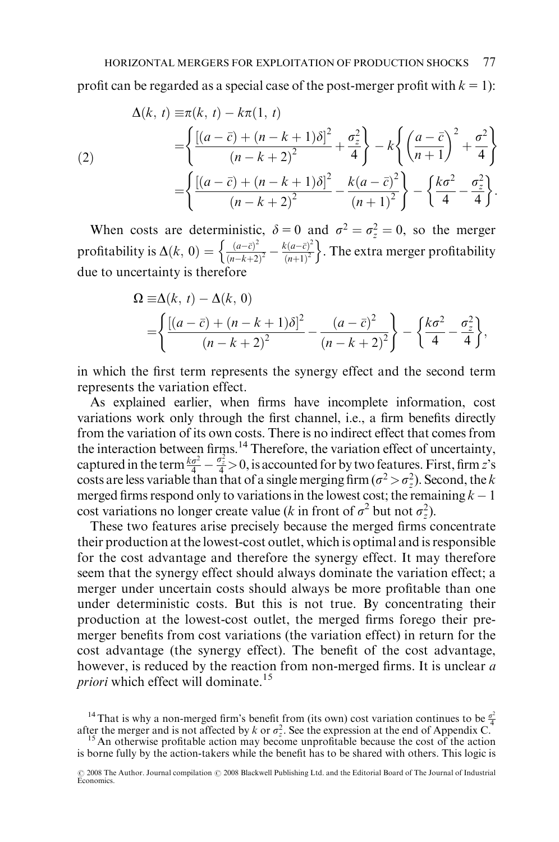profit can be regarded as a special case of the post-merger profit with  $k = 1$ :

(2)  
\n
$$
\Delta(k, t) = \pi(k, t) - k\pi(1, t)
$$
\n
$$
= \left\{ \frac{[(a - \bar{c}) + (n - k + 1)\delta]^2}{(n - k + 2)^2} + \frac{\sigma_z^2}{4} \right\} - k \left\{ \left( \frac{a - \bar{c}}{n + 1} \right)^2 + \frac{\sigma^2}{4} \right\}
$$
\n
$$
= \left\{ \frac{[(a - \bar{c}) + (n - k + 1)\delta]^2}{(n - k + 2)^2} - \frac{k(a - \bar{c})^2}{(n + 1)^2} \right\} - \left\{ \frac{k\sigma^2}{4} - \frac{\sigma_z^2}{4} \right\}.
$$

When costs are deterministic,  $\delta = 0$  and  $\sigma^2 = \sigma_z^2 = 0$ , so the merger profitability is  $\Delta(k, 0) = \begin{cases} \frac{(a-\bar{c})^2}{(n-k+1)^2} \end{cases}$  $\frac{(a-\bar{c})^2}{(n-k+2)^2} - \frac{k(a-\bar{c})^2}{(n+1)^2}$  $\left\{\frac{(a-\bar{c})^2}{(n-k+2)^2} - \frac{k(a-\bar{c})^2}{(n+1)^2}\right\}$ . The extra merger profitability due to uncertainty is therefore

$$
\Omega \equiv \Delta(k, t) - \Delta(k, 0) \n= \left\{ \frac{\left[ (a - \bar{c}) + (n - k + 1)\delta \right]^2}{(n - k + 2)^2} - \frac{(a - \bar{c})^2}{(n - k + 2)^2} \right\} - \left\{ \frac{k\sigma^2}{4} - \frac{\sigma_z^2}{4} \right\},
$$

in which the first term represents the synergy effect and the second term represents the variation effect.

As explained earlier, when firms have incomplete information, cost variations work only through the first channel, i.e., a firm benefits directly from the variation of its own costs. There is no indirect effect that comes from the interaction between firms. $14$  Therefore, the variation effect of uncertainty, captured in the term  $\frac{k\sigma^2}{4} - \frac{\sigma_z^2}{4} > 0$ , is accounted for by two features. First, firm z's costs are less variable than that of a single merging firm  $(\sigma^2 > \sigma_z^2)$ . Second, the k merged firms respond only to variations in the lowest cost; the remaining  $k-1$ cost variations no longer create value (k in front of  $\sigma^2$  but not  $\sigma_z^2$ ).

These two features arise precisely because the merged firms concentrate their production at the lowest-cost outlet, which is optimal and is responsible for the cost advantage and therefore the synergy effect. It may therefore seem that the synergy effect should always dominate the variation effect; a merger under uncertain costs should always be more profitable than one under deterministic costs. But this is not true. By concentrating their production at the lowest-cost outlet, the merged firms forego their premerger benefits from cost variations (the variation effect) in return for the cost advantage (the synergy effect). The benefit of the cost advantage, however, is reduced by the reaction from non-merged firms. It is unclear a priori which effect will dominate.<sup>15</sup>

<sup>&</sup>lt;sup>14</sup> That is why a non-merged firm's benefit from (its own) cost variation continues to be  $\frac{\sigma^2}{4}$ after the merger and is not affected by k or  $\sigma_z^2$ . See the expression at the end of Appendix C.

<sup>&</sup>lt;sup>15</sup> An otherwise profitable action may become unprofitable because the cost of the action is borne fully by the action-takers while the benefit has to be shared with others. This logic is

<sup>© 2008</sup> The Author. Journal compilation © 2008 Blackwell Publishing Ltd. and the Editorial Board of The Journal of Industrial<br>Economics.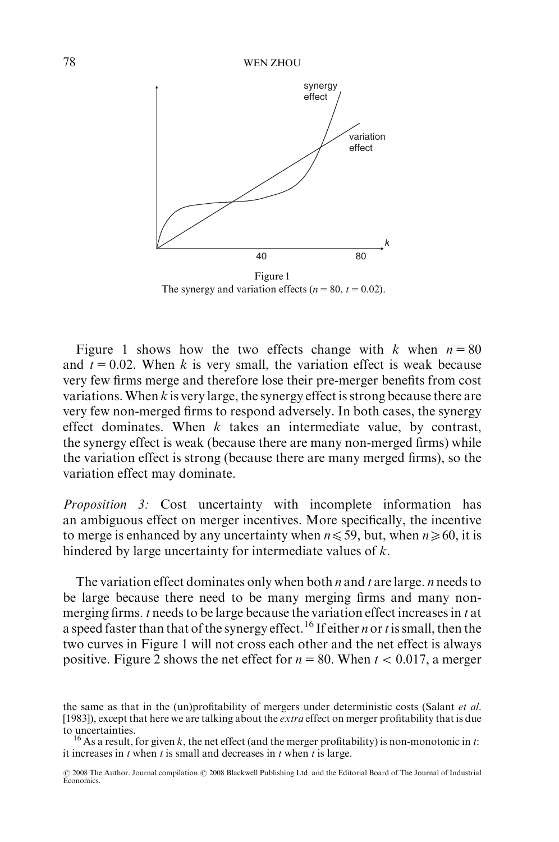

The synergy and variation effects ( $n = 80$ ,  $t = 0.02$ ).

Figure 1 shows how the two effects change with k when  $n = 80$ and  $t = 0.02$ . When k is very small, the variation effect is weak because very few firms merge and therefore lose their pre-merger benefits from cost variations. When  $k$  is very large, the synergy effect is strong because there are very few non-merged firms to respond adversely. In both cases, the synergy effect dominates. When  $k$  takes an intermediate value, by contrast, the synergy effect is weak (because there are many non-merged firms) while the variation effect is strong (because there are many merged firms), so the variation effect may dominate.

Proposition 3: Cost uncertainty with incomplete information has an ambiguous effect on merger incentives. More specifically, the incentive to merge is enhanced by any uncertainty when  $n \le 59$ , but, when  $n \ge 60$ , it is hindered by large uncertainty for intermediate values of k.

The variation effect dominates only when both  $n$  and  $t$  are large.  $n$  needs to be large because there need to be many merging firms and many nonmerging firms.  $t$  needs to be large because the variation effect increases in  $t$  at a speed faster than that of the synergy effect.<sup>16</sup> If either *n* or *t* is small, then the two curves in Figure 1 will not cross each other and the net effect is always positive. Figure 2 shows the net effect for  $n = 80$ . When  $t < 0.017$ , a merger

the same as that in the (un)profitability of mergers under deterministic costs (Salant *et al.*) [1983]), except that here we are talking about the *extra* effect on merger profitability that is due to uncertainties.

<sup>&</sup>lt;sup>16</sup> As a result, for given k, the net effect (and the merger profitability) is non-monotonic in t: it increases in  $t$  when  $t$  is small and decreases in  $t$  when  $t$  is large.

<sup>© 2008</sup> The Author. Journal compilation © 2008 Blackwell Publishing Ltd. and the Editorial Board of The Journal of Industrial Economics.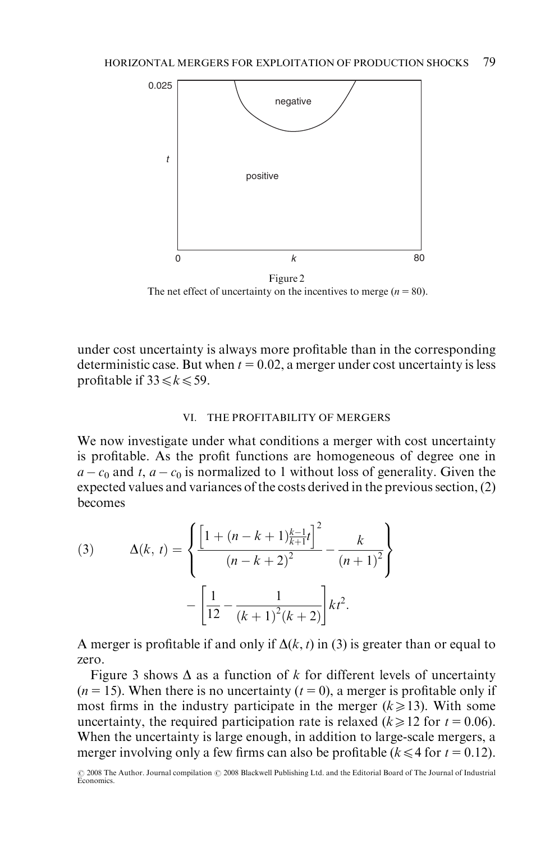

The net effect of uncertainty on the incentives to merge  $(n = 80)$ .

under cost uncertainty is always more profitable than in the corresponding deterministic case. But when  $t = 0.02$ , a merger under cost uncertainty is less profitable if  $33 \le k \le 59$ .

### VI. THE PROFITABILITY OF MERGERS

We now investigate under what conditions a merger with cost uncertainty is profitable. As the profit functions are homogeneous of degree one in  $a - c_0$  and t,  $a - c_0$  is normalized to 1 without loss of generality. Given the expected values and variances of the costs derived in the previous section, (2) becomes

(3) 
$$
\Delta(k, t) = \left\{ \frac{\left[1 + (n - k + 1)\frac{k-1}{k+1}t\right]^2}{(n - k + 2)^2} - \frac{k}{(n + 1)^2} \right\} - \left[\frac{1}{12} - \frac{1}{(k+1)^2(k+2)}\right]kt^2.
$$

A merger is profitable if and only if  $\Delta(k, t)$  in (3) is greater than or equal to zero.

Figure 3 shows  $\Delta$  as a function of k for different levels of uncertainty  $(n = 15)$ . When there is no uncertainty  $(t = 0)$ , a merger is profitable only if most firms in the industry participate in the merger  $(k \ge 13)$ . With some uncertainty, the required participation rate is relaxed ( $k \ge 12$  for  $t = 0.06$ ). When the uncertainty is large enough, in addition to large-scale mergers, a merger involving only a few firms can also be profitable ( $k \leq 4$  for  $t = 0.12$ ).

<sup>© 2008</sup> The Author. Journal compilation © 2008 Blackwell Publishing Ltd. and the Editorial Board of The Journal of Industrial<br>Economics.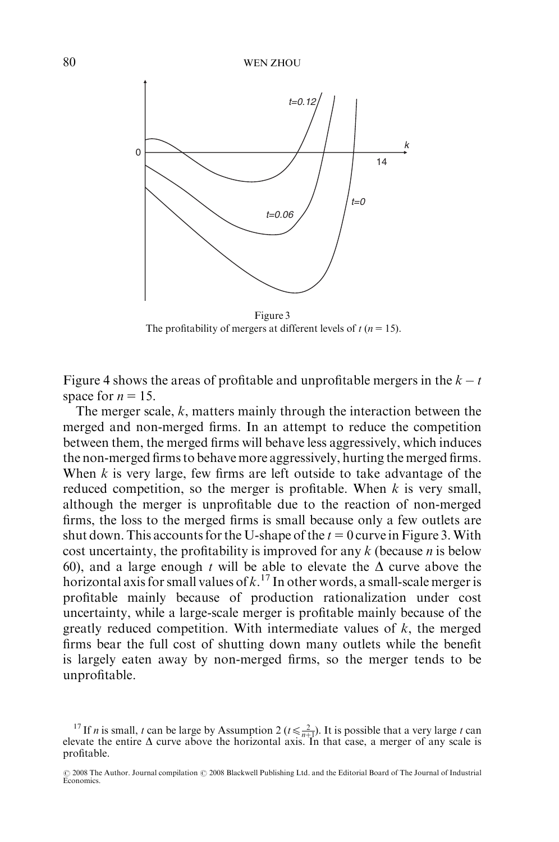

Figure 3 The profitability of mergers at different levels of  $t (n = 15)$ .

Figure 4 shows the areas of profitable and unprofitable mergers in the  $k - t$ space for  $n = 15$ .

The merger scale, k, matters mainly through the interaction between the merged and non-merged firms. In an attempt to reduce the competition between them, the merged firms will behave less aggressively, which induces the non-merged firms to behave more aggressively, hurting the merged firms. When  $k$  is very large, few firms are left outside to take advantage of the reduced competition, so the merger is profitable. When  $k$  is very small, although the merger is unprofitable due to the reaction of non-merged firms, the loss to the merged firms is small because only a few outlets are shut down. This accounts for the U-shape of the  $t = 0$  curve in Figure 3. With cost uncertainty, the profitability is improved for any  $k$  (because  $n$  is below 60), and a large enough t will be able to elevate the  $\Delta$  curve above the horizontal axis for small values of  $k$ .<sup>17</sup> In other words, a small-scale merger is profitable mainly because of production rationalization under cost uncertainty, while a large-scale merger is profitable mainly because of the greatly reduced competition. With intermediate values of  $k$ , the merged firms bear the full cost of shutting down many outlets while the benefit is largely eaten away by non-merged firms, so the merger tends to be unprofitable.

<sup>&</sup>lt;sup>17</sup> If *n* is small, *t* can be large by Assumption 2 ( $t \le \frac{2}{n+1}$ ). It is possible that a very large *t* can elevate the entire  $\Delta$  curve above the horizontal axis. In that case, a merger of any scale is profitable.

<sup>© 2008</sup> The Author. Journal compilation © 2008 Blackwell Publishing Ltd. and the Editorial Board of The Journal of Industrial<br>Economics.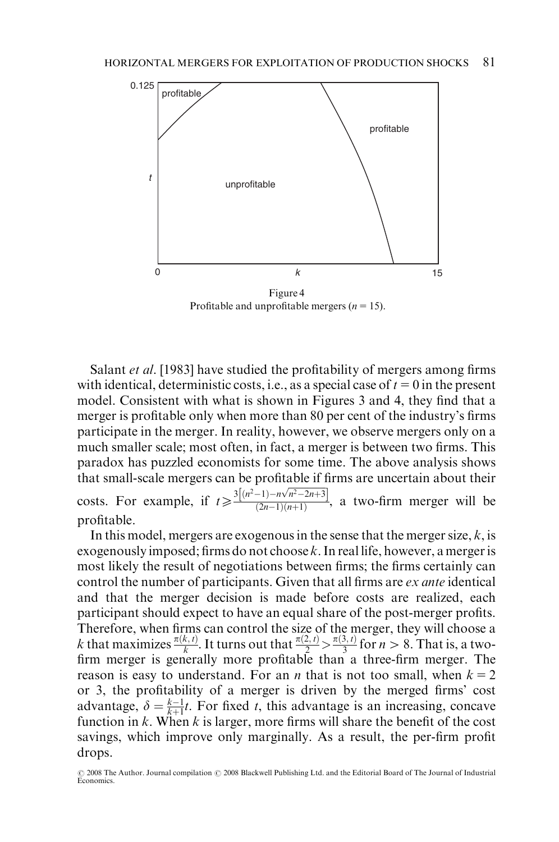

Profitable and unprofitable mergers ( $n = 15$ ).

Salant et al. [1983] have studied the profitability of mergers among firms with identical, deterministic costs, i.e., as a special case of  $t = 0$  in the present model. Consistent with what is shown in Figures 3 and 4, they find that a merger is profitable only when more than 80 per cent of the industry's firms participate in the merger. In reality, however, we observe mergers only on a much smaller scale; most often, in fact, a merger is between two firms. This paradox has puzzled economists for some time. The above analysis shows that small-scale mergers can be profitable if firms are uncertain about their costs. For example, if  $t \ge \frac{3[(n^2-1)-n\sqrt{n^2-2n+3}]}{(2n-1)(n+1)}$  $\frac{1}{(2n-1)(n+1)}$ , a two-firm merger will be profitable.

In this model, mergers are exogenous in the sense that the merger size,  $k$ , is exogenously imposed; firms do not choose  $k$ . In real life, however, a merger is most likely the result of negotiations between firms; the firms certainly can control the number of participants. Given that all firms are *ex ante* identical and that the merger decision is made before costs are realized, each participant should expect to have an equal share of the post-merger profits. Therefore, when firms can control the size of the merger, they will choose a k that maximizes  $\frac{\pi(k,t)}{k}$ . It turns out that  $\frac{\pi(2,t)}{2} > \frac{\pi(3,t)}{3}$  for  $n > 8$ . That is, a twofirm merger is generally more profitable than a three-firm merger. The reason is easy to understand. For an *n* that is not too small, when  $k = 2$ or 3, the profitability of a merger is driven by the merged firms' cost advantage,  $\delta = \frac{k-1}{k+1}t$ . For fixed t, this advantage is an increasing, concave function in  $k$ . When  $k$  is larger, more firms will share the benefit of the cost savings, which improve only marginally. As a result, the per-firm profit drops.

<sup>© 2008</sup> The Author. Journal compilation © 2008 Blackwell Publishing Ltd. and the Editorial Board of The Journal of Industrial Economics.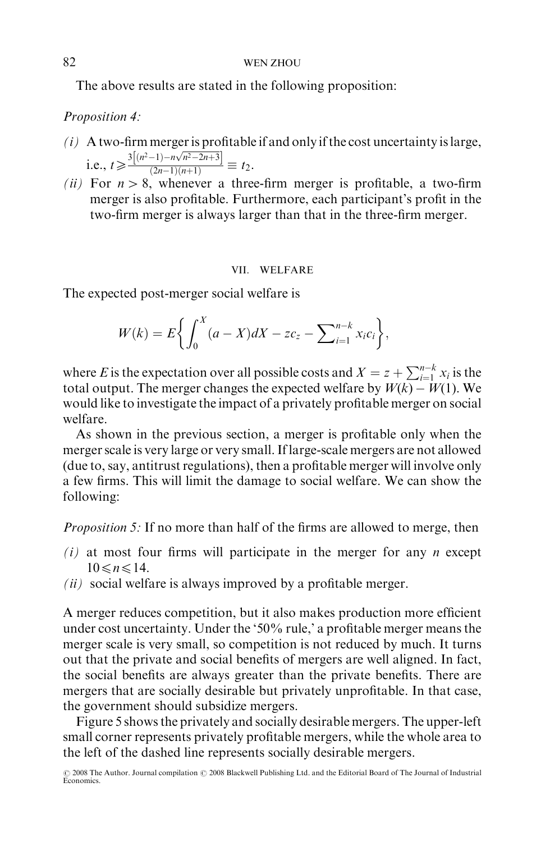The above results are stated in the following proposition:

Proposition 4:

- $(i)$  A two-firm merger is profitable if and only if the cost uncertainty is large, i.e.,  $t \geqslant \frac{3[(n^2-1)-n\sqrt{n^2-2n+3}]}{(2n-1)(n+1)}$  $\frac{2n+2}{(2n-1)(n+1)} \equiv t_2.$
- (ii) For  $n > 8$ , whenever a three-firm merger is profitable, a two-firm merger is also profitable. Furthermore, each participant's profit in the two-firm merger is always larger than that in the three-firm merger.

### VII. WELFARE

The expected post-merger social welfare is

$$
W(k) = E\bigg\{\int_0^X (a - X)dX - z c_z - \sum_{i=1}^{n-k} x_i c_i\bigg\},\,
$$

where E is the expectation over all possible costs and  $X = z + \sum_{i=1}^{n-k} x_i$  is the total output. The merger changes the expected welfare by  $\mathit{W}(k) - \mathit{W}(1).$  We would like to investigate the impact of a privately profitable merger on social welfare.

As shown in the previous section, a merger is profitable only when the merger scale is very large or very small. If large-scale mergers are not allowed (due to, say, antitrust regulations), then a profitable merger will involve only a few firms. This will limit the damage to social welfare. We can show the following:

Proposition 5: If no more than half of the firms are allowed to merge, then

- $(i)$  at most four firms will participate in the merger for any *n* except  $10 \leq n \leq 14$ .
- $(ii)$  social welfare is always improved by a profitable merger.

A merger reduces competition, but it also makes production more efficient under cost uncertainty. Under the '50% rule,' a profitable merger means the merger scale is very small, so competition is not reduced by much. It turns out that the private and social benefits of mergers are well aligned. In fact, the social benefits are always greater than the private benefits. There are mergers that are socially desirable but privately unprofitable. In that case, the government should subsidize mergers.

Figure 5 shows the privately and socially desirable mergers. The upper-left small corner represents privately profitable mergers, while the whole area to the left of the dashed line represents socially desirable mergers.

<sup>© 2008</sup> The Author. Journal compilation © 2008 Blackwell Publishing Ltd. and the Editorial Board of The Journal of Industrial<br>Economics.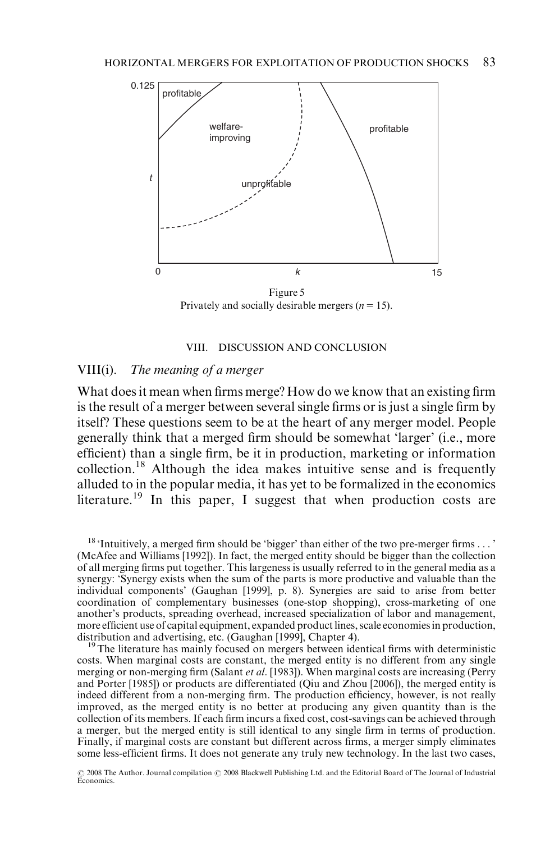

Figure 5 Privately and socially desirable mergers ( $n = 15$ ).

#### VIII. DISCUSSION AND CONCLUSION

### VIII(i). The meaning of a merger

What does it mean when firms merge? How do we know that an existing firm is the result of a merger between several single firms or is just a single firm by itself? These questions seem to be at the heart of any merger model. People generally think that a merged firm should be somewhat 'larger' (i.e., more efficient) than a single firm, be it in production, marketing or information collection.18 Although the idea makes intuitive sense and is frequently alluded to in the popular media, it has yet to be formalized in the economics literature.<sup>19</sup> In this paper, I suggest that when production costs are

<sup>18</sup> 'Intuitively, a merged firm should be 'bigger' than either of the two pre-merger firms . . . ' (McAfee and Williams [1992]). In fact, the merged entity should be bigger than the collection of all merging firms put together. This largeness is usually referred to in the general media as a synergy: 'Synergy exists when the sum of the parts is more productive and valuable than the individual components' (Gaughan [1999], p. 8). Synergies are said to arise from better coordination of complementary businesses (one-stop shopping), cross-marketing of one another's products, spreading overhead, increased specialization of labor and management, more efficient use of capital equipment, expanded product lines, scale economies in production, distribution and advertising, etc. (Gaughan [1999], Chapter 4).

 $\mu$ <sup>9</sup>The literature has mainly focused on mergers between identical firms with deterministic costs. When marginal costs are constant, the merged entity is no different from any single merging or non-merging firm (Salant et al. [1983]). When marginal costs are increasing (Perry and Porter [1985]) or products are differentiated (Qiu and Zhou [2006]), the merged entity is indeed different from a non-merging firm. The production efficiency, however, is not really improved, as the merged entity is no better at producing any given quantity than is the collection of its members. If each firm incurs a fixed cost, cost-savings can be achieved through a merger, but the merged entity is still identical to any single firm in terms of production. Finally, if marginal costs are constant but different across firms, a merger simply eliminates some less-efficient firms. It does not generate any truly new technology. In the last two cases,

 $\odot$  2008 The Author. Journal compilation  $\odot$  2008 Blackwell Publishing Ltd. and the Editorial Board of The Journal of Industrial Economics.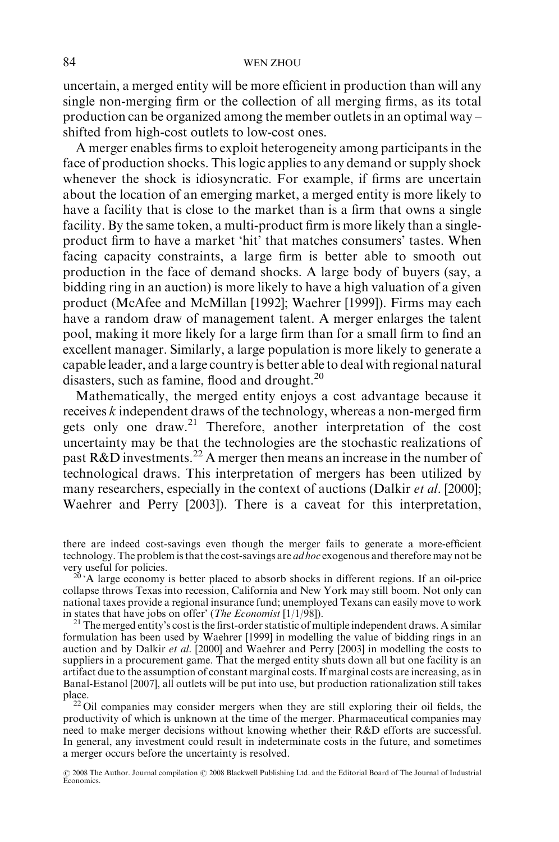### 84 WEN ZHOU

uncertain, a merged entity will be more efficient in production than will any single non-merging firm or the collection of all merging firms, as its total production can be organized among the member outlets in an optimal way – shifted from high-cost outlets to low-cost ones.

A merger enables firms to exploit heterogeneity among participants in the face of production shocks. This logic applies to any demand or supply shock whenever the shock is idiosyncratic. For example, if firms are uncertain about the location of an emerging market, a merged entity is more likely to have a facility that is close to the market than is a firm that owns a single facility. By the same token, a multi-product firm is more likely than a singleproduct firm to have a market 'hit' that matches consumers' tastes. When facing capacity constraints, a large firm is better able to smooth out production in the face of demand shocks. A large body of buyers (say, a bidding ring in an auction) is more likely to have a high valuation of a given product (McAfee and McMillan [1992]; Waehrer [1999]). Firms may each have a random draw of management talent. A merger enlarges the talent pool, making it more likely for a large firm than for a small firm to find an excellent manager. Similarly, a large population is more likely to generate a capable leader, and a large country is better able to deal with regional natural disasters, such as famine, flood and drought. $^{20}$ 

Mathematically, the merged entity enjoys a cost advantage because it receives k independent draws of the technology, whereas a non-merged firm gets only one draw.<sup>21</sup> Therefore, another interpretation of the cost uncertainty may be that the technologies are the stochastic realizations of past  $R&D$  investments.<sup>22</sup> A merger then means an increase in the number of technological draws. This interpretation of mergers has been utilized by many researchers, especially in the context of auctions (Dalkir *et al.* [2000]; Waehrer and Perry [2003]). There is a caveat for this interpretation,

there are indeed cost-savings even though the merger fails to generate a more-efficient technology. The problem is that the cost-savings are *ad hoc* exogenous and therefore may not be very useful for policies.<br><sup>20</sup> 'A large economy is better placed to absorb shocks in different regions. If an oil-price

collapse throws Texas into recession, California and New York may still boom. Not only can national taxes provide a regional insurance fund; unemployed Texans can easily move to work in states that have jobs on offer' (*The Economist* [1/1/98]).

<sup>21</sup> The merged entity's cost is the first-order statistic of multiple independent draws. A similar formulation has been used by Waehrer [1999] in modelling the value of bidding rings in an auction and by Dalkir et al. [2000] and Waehrer and Perry [2003] in modelling the costs to suppliers in a procurement game. That the merged entity shuts down all but one facility is an artifact due to the assumption of constant marginal costs. If marginal costs are increasing, as in Banal-Estanol [2007], all outlets will be put into use, but production rationalization still takes place.<br><sup>22</sup> Oil companies may consider mergers when they are still exploring their oil fields, the

productivity of which is unknown at the time of the merger. Pharmaceutical companies may need to make merger decisions without knowing whether their R&D efforts are successful. In general, any investment could result in indeterminate costs in the future, and sometimes a merger occurs before the uncertainty is resolved.

© 2008 The Author. Journal compilation © 2008 Blackwell Publishing Ltd. and the Editorial Board of The Journal of Industrial<br>Economics.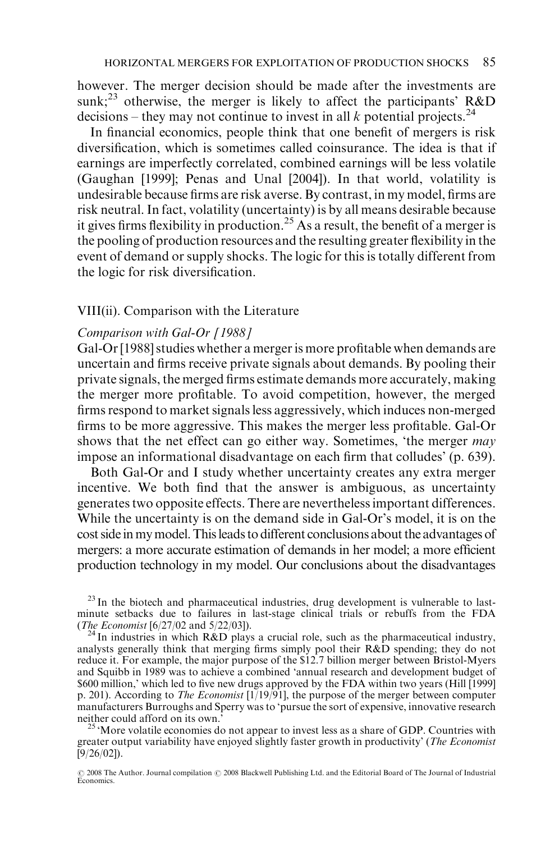however. The merger decision should be made after the investments are sunk;<sup>23</sup> otherwise, the merger is likely to affect the participants' R&D decisions – they may not continue to invest in all k potential projects.<sup>24</sup>

In financial economics, people think that one benefit of mergers is risk diversification, which is sometimes called coinsurance. The idea is that if earnings are imperfectly correlated, combined earnings will be less volatile (Gaughan [1999]; Penas and Unal [2004]). In that world, volatility is undesirable because firms are risk averse. By contrast, in my model, firms are risk neutral. In fact, volatility (uncertainty) is by all means desirable because it gives firms flexibility in production.<sup>25</sup> As a result, the benefit of a merger is the pooling of production resources and the resulting greater flexibility in the event of demand or supply shocks. The logic for this is totally different from the logic for risk diversification.

## VIII(ii). Comparison with the Literature

## Comparison with Gal-Or [1988]

Gal-Or [1988] studies whether a merger is more profitable when demands are uncertain and firms receive private signals about demands. By pooling their private signals, the merged firms estimate demands more accurately, making the merger more profitable. To avoid competition, however, the merged firms respond to market signals less aggressively, which induces non-merged firms to be more aggressive. This makes the merger less profitable. Gal-Or shows that the net effect can go either way. Sometimes, 'the merger may impose an informational disadvantage on each firm that colludes' (p. 639).

Both Gal-Or and I study whether uncertainty creates any extra merger incentive. We both find that the answer is ambiguous, as uncertainty generates two opposite effects. There are nevertheless important differences. While the uncertainty is on the demand side in Gal-Or's model, it is on the cost side in my model. This leads to different conclusions about the advantages of mergers: a more accurate estimation of demands in her model; a more efficient production technology in my model. Our conclusions about the disadvantages

 $^{23}$  In the biotech and pharmaceutical industries, drug development is vulnerable to lastminute setbacks due to failures in last-stage clinical trials or rebuffs from the FDA (*The Economist* [6/27/02 and 5/22/03]).

<sup>24</sup> In industries in which  $R&D$  plays a crucial role, such as the pharmaceutical industry, analysts generally think that merging firms simply pool their R&D spending; they do not reduce it. For example, the major purpose of the \$12.7 billion merger between Bristol-Myers and Squibb in 1989 was to achieve a combined 'annual research and development budget of \$600 million,' which led to five new drugs approved by the FDA within two years (Hill [1999] p. 201). According to *The Economist*  $[1/19/91]$ , the purpose of the merger between computer manufacturers Burroughs and Sperry was to 'pursue the sort of expensive, innovative research

<sup>25</sup> 'More volatile economies do not appear to invest less as a share of GDP. Countries with greater output variability have enjoyed slightly faster growth in productivity' (The Economist [9/26/02]).

<sup>© 2008</sup> The Author. Journal compilation © 2008 Blackwell Publishing Ltd. and the Editorial Board of The Journal of Industrial<br>Economics.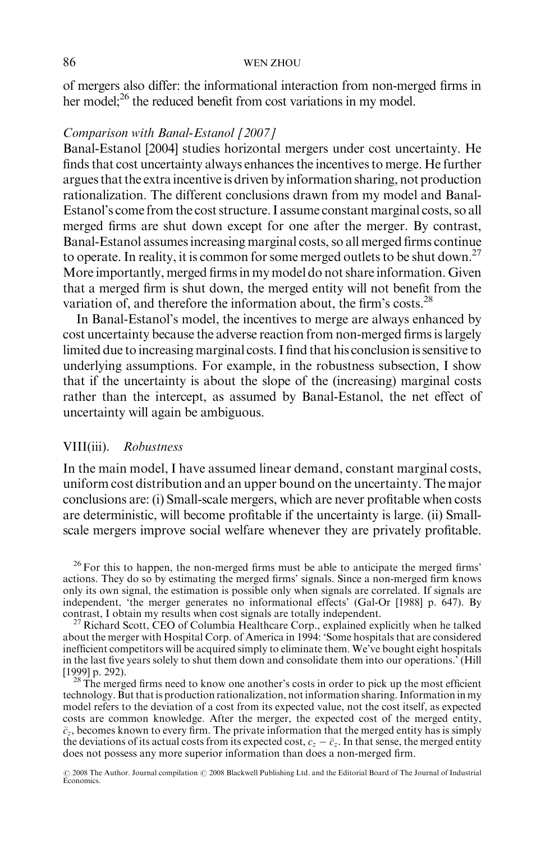### 86 WEN ZHOU

of mergers also differ: the informational interaction from non-merged firms in her model;<sup>26</sup> the reduced benefit from cost variations in my model.

## Comparison with Banal-Estanol [2007]

Banal-Estanol [2004] studies horizontal mergers under cost uncertainty. He finds that cost uncertainty always enhances the incentives to merge. He further argues that the extra incentive is driven by information sharing, not production rationalization. The different conclusions drawn from my model and Banal-Estanol's come from the cost structure. I assume constant marginal costs, so all merged firms are shut down except for one after the merger. By contrast, Banal-Estanol assumes increasing marginal costs, so all merged firms continue to operate. In reality, it is common for some merged outlets to be shut down.<sup>27</sup> More importantly, merged firms in my model do not share information. Given that a merged firm is shut down, the merged entity will not benefit from the variation of, and therefore the information about, the firm's costs.<sup>28</sup>

In Banal-Estanol's model, the incentives to merge are always enhanced by cost uncertainty because the adverse reaction from non-merged firms is largely limited due to increasing marginal costs. I find that his conclusion is sensitive to underlying assumptions. For example, in the robustness subsection, I show that if the uncertainty is about the slope of the (increasing) marginal costs rather than the intercept, as assumed by Banal-Estanol, the net effect of uncertainty will again be ambiguous.

## VIII(iii). Robustness

In the main model, I have assumed linear demand, constant marginal costs, uniform cost distribution and an upper bound on the uncertainty. The major conclusions are: (i) Small-scale mergers, which are never profitable when costs are deterministic, will become profitable if the uncertainty is large. (ii) Smallscale mergers improve social welfare whenever they are privately profitable.

 $26$  For this to happen, the non-merged firms must be able to anticipate the merged firms' actions. They do so by estimating the merged firms' signals. Since a non-merged firm knows only its own signal, the estimation is possible only when signals are correlated. If signals are independent, 'the merger generates no informational effects' (Gal-Or [1988] p. 647). By contrast, I obtain my results when cost signals are totally independent.

 $^{27}$  Richard Scott, CEO of Columbia Healthcare Corp., explained explicitly when he talked about the merger with Hospital Corp. of America in 1994: 'Some hospitals that are considered inefficient competitors will be acquired simply to eliminate them. We've bought eight hospitals in the last five years solely to shut them down and consolidate them into our operations.<sup>†</sup> (Hill [1999] p. 292).

<sup>28</sup>The merged firms need to know one another's costs in order to pick up the most efficient technology. But that is production rationalization, not information sharing. Information in my model refers to the deviation of a cost from its expected value, not the cost itself, as expected costs are common knowledge. After the merger, the expected cost of the merged entity,  $\bar{c}_z$ , becomes known to every firm. The private information that the merged entity has is simply the deviations of its actual costs from its expected cost,  $c_z - \bar{c}_z$ . In that sense, the merged entity does not possess any more superior information than does a non-merged firm.

© 2008 The Author. Journal compilation © 2008 Blackwell Publishing Ltd. and the Editorial Board of The Journal of Industrial<br>Economics.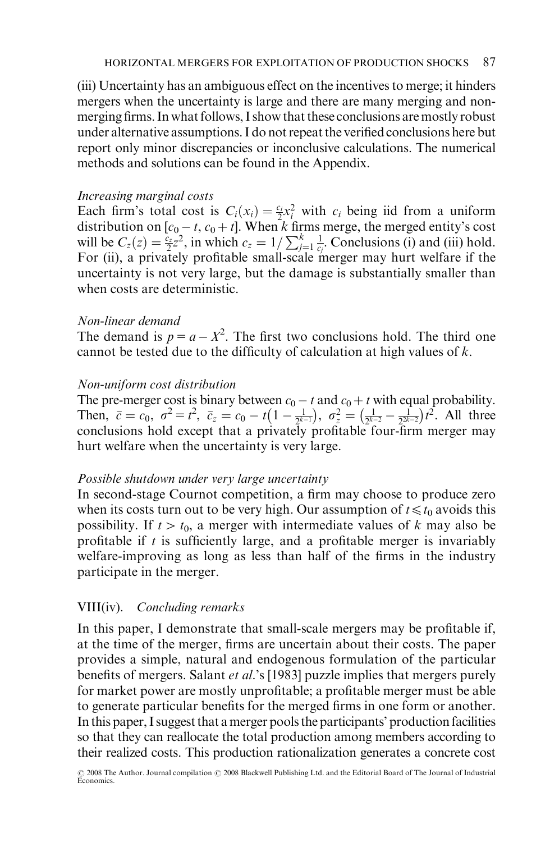(iii) Uncertainty has an ambiguous effect on the incentives to merge; it hinders mergers when the uncertainty is large and there are many merging and nonmerging firms. In what follows, I show that these conclusions are mostly robust under alternative assumptions. I do not repeat the verified conclusions here but report only minor discrepancies or inconclusive calculations. The numerical methods and solutions can be found in the Appendix.

## Increasing marginal costs

Each firm's total cost is  $C_i(x_i) = \frac{c_i}{2}x_i^2$  with  $c_i$  being iid from a uniform distribution on [ $c_0 - t$ ,  $c_0 + t$ ]. When k firms merge, the merged entity's cost will be  $C_z(z) = \frac{c_2}{2}z^2$ , in which  $c_z = 1/\sum_{j=1}^k \frac{1}{c_j}$ . Conclusions (i) and (iii) hold. For (ii), a privately profitable small-scale merger may hurt welfare if the uncertainty is not very large, but the damage is substantially smaller than when costs are deterministic.

## Non-linear demand

The demand is  $p = a - X^2$ . The first two conclusions hold. The third one cannot be tested due to the difficulty of calculation at high values of k.

## Non-uniform cost distribution

The pre-merger cost is binary between  $c_0 - t$  and  $c_0 + t$  with equal probability. Then,  $\bar{c} = c_0$ ,  $\sigma^2 = t^2$ ,  $\bar{c}_z = c_0 - t(1 - \frac{1}{2^{k-1}}), \sigma_z^2 = (\frac{1}{2^{k-2}} - \frac{1}{2^{2k-2}})t^2$ . All three conclusions hold except that a privately profitable four-firm merger may hurt welfare when the uncertainty is very large.

## Possible shutdown under very large uncertainty

In second-stage Cournot competition, a firm may choose to produce zero when its costs turn out to be very high. Our assumption of  $t \le t_0$  avoids this possibility. If  $t > t_0$ , a merger with intermediate values of k may also be profitable if t is sufficiently large, and a profitable merger is invariably welfare-improving as long as less than half of the firms in the industry participate in the merger.

## VIII(iv). Concluding remarks

In this paper, I demonstrate that small-scale mergers may be profitable if, at the time of the merger, firms are uncertain about their costs. The paper provides a simple, natural and endogenous formulation of the particular benefits of mergers. Salant et al.'s [1983] puzzle implies that mergers purely for market power are mostly unprofitable; a profitable merger must be able to generate particular benefits for the merged firms in one form or another. In this paper, I suggest that a merger pools the participants' production facilities so that they can reallocate the total production among members according to their realized costs. This production rationalization generates a concrete cost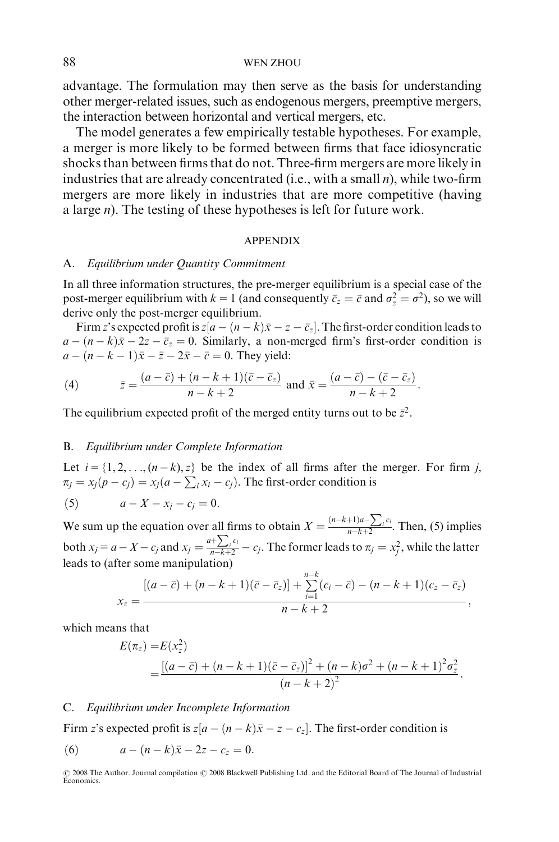advantage. The formulation may then serve as the basis for understanding other merger-related issues, such as endogenous mergers, preemptive mergers, the interaction between horizontal and vertical mergers, etc.

The model generates a few empirically testable hypotheses. For example, a merger is more likely to be formed between firms that face idiosyncratic shocks than between firms that do not. Three-firm mergers are more likely in industries that are already concentrated (i.e., with a small  $n$ ), while two-firm mergers are more likely in industries that are more competitive (having a large *n*). The testing of these hypotheses is left for future work.

#### APPENDIX

#### A. Equilibrium under Quantity Commitment

In all three information structures, the pre-merger equilibrium is a special case of the post-merger equilibrium with  $k = 1$  (and consequently  $\bar{c}_z = \bar{c}$  and  $\sigma_z^2 = \sigma^2$ ), so we will derive only the post-merger equilibrium.

Firm z's expected profit is  $z[a - (n - k)\bar{x} - z - \bar{c}_z]$ . The first-order condition leads to  $a - (n - k)\bar{x} - 2z - \bar{c}_z = 0$ . Similarly, a non-merged firm's first-order condition is  $a - (n - k - 1)\overline{x} - \overline{z} - 2\overline{x} - \overline{c} = 0$ . They yield:

(4) 
$$
\bar{z} = \frac{(a-\bar{c})+(n-k+1)(\bar{c}-\bar{c}_z)}{n-k+2} \text{ and } \bar{x} = \frac{(a-\bar{c})-(\bar{c}-\bar{c}_z)}{n-k+2}.
$$

The equilibrium expected profit of the merged entity turns out to be  $\bar{z}^2$ .

#### B. Equilibrium under Complete Information

Let  $i = \{1, 2, \ldots, (n-k), z\}$  be the index of all firms after the merger. For firm j,  $\pi_j = x_j(p - c_j) = x_j(a - \sum_i x_i - c_j)$ . The first-order condition is

$$
(5) \qquad a - X - x_j - c_j = 0.
$$

We sum up the equation over all firms to obtain  $X = \frac{(n-k+1)a - \sum_i c_i}{n-k+2}$  $\frac{\sum_i^{i} c_i}{n-k+2}$ . Then, (5) implies both  $x_j = a - X - c_j$  and  $x_j = \frac{a + \sum_j c_j}{n - k + 2}$  $\frac{f(z)}{f(x+h-1)}-c_j$ . The former leads to  $\pi_j=x_j^2$ , while the latter leads to (after some manipulation)

$$
x_z = \frac{[(a-\bar{c}) + (n-k+1)(\bar{c}-\bar{c}_z)] + \sum_{i=1}^{n-k} (c_i-\bar{c}) - (n-k+1)(c_z-\bar{c}_z)}{n-k+2},
$$

which means that

$$
E(\pi_z) = E(x_z^2)
$$
  
= 
$$
\frac{[(a-\bar{c}) + (n-k+1)(\bar{c}-\bar{c}_z)]^2 + (n-k)\sigma^2 + (n-k+1)^2\sigma_z^2}{(n-k+2)^2}.
$$

#### C. Equilibrium under Incomplete Information

Firm z's expected profit is  $z[a - (n - k)\bar{x} - z - c_z]$ . The first-order condition is

(6) 
$$
a - (n - k)\bar{x} - 2z - c_z = 0.
$$

<sup>© 2008</sup> The Author. Journal compilation © 2008 Blackwell Publishing Ltd. and the Editorial Board of The Journal of Industrial Economics.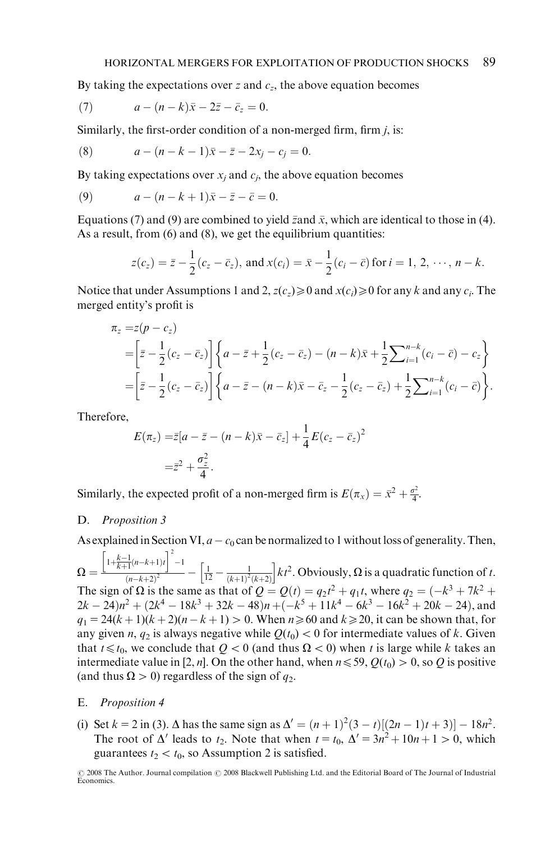By taking the expectations over z and  $c_z$ , the above equation becomes

(7) 
$$
a - (n - k)\bar{x} - 2\bar{z} - \bar{c}_z = 0.
$$

Similarly, the first-order condition of a non-merged firm, firm  $j$ , is:

(8) 
$$
a - (n - k - 1)\bar{x} - \bar{z} - 2x_j - c_j = 0.
$$

By taking expectations over  $x_i$  and  $c_i$ , the above equation becomes

(9) 
$$
a - (n - k + 1)\bar{x} - \bar{z} - \bar{c} = 0.
$$

Equations (7) and (9) are combined to yield  $\bar{z}$  and  $\bar{x}$ , which are identical to those in (4). As a result, from (6) and (8), we get the equilibrium quantities:

$$
z(c_z) = \bar{z} - \frac{1}{2}(c_z - \bar{c}_z)
$$
, and  $x(c_i) = \bar{x} - \frac{1}{2}(c_i - \bar{c})$  for  $i = 1, 2, \dots, n - k$ .

Notice that under Assumptions 1 and 2,  $z(c_z) \ge 0$  and  $x(c_i) \ge 0$  for any k and any  $c_i$ . The merged entity's profit is

$$
\begin{split} \pi_{z} &= z(p - c_{z}) \\ &= \left[\bar{z} - \frac{1}{2}(c_{z} - \bar{c}_{z})\right] \left\{a - \bar{z} + \frac{1}{2}(c_{z} - \bar{c}_{z}) - (n - k)\bar{x} + \frac{1}{2}\sum_{i=1}^{n-k}(c_{i} - \bar{c}) - c_{z}\right\} \\ &= \left[\bar{z} - \frac{1}{2}(c_{z} - \bar{c}_{z})\right] \left\{a - \bar{z} - (n - k)\bar{x} - \bar{c}_{z} - \frac{1}{2}(c_{z} - \bar{c}_{z}) + \frac{1}{2}\sum_{i=1}^{n-k}(c_{i} - \bar{c})\right\}.\end{split}
$$

Therefore,

$$
E(\pi_z) = \bar{z}[a - \bar{z} - (n - k)\bar{x} - \bar{c}_z] + \frac{1}{4}E(c_z - \bar{c}_z)^2
$$
  
=  $\bar{z}^2 + \frac{\sigma_z^2}{4}$ .

Similarly, the expected profit of a non-merged firm is  $E(\pi_x) = \bar{x}^2 + \frac{\sigma^2}{4}$ .

#### D. Proposition 3

As explained in Section VI,  $a - c_0$  can be normalized to 1 without loss of generality. Then,

 $\Omega = \frac{\left[1 + \frac{k-1}{k+1}(n-k+1)t\right]^2 - 1}{(n-k+1)^2}$  $\frac{\left[\frac{1}{1}(n-k+1)t\right] - 1}{(n-k+2)^2} - \left[\frac{1}{12} - \frac{1}{(k+1)^2(k+2)}\right]kt^2$ . Obviously,  $\Omega$  is a quadratic function of t. The sign of  $\Omega$  is the same as that of  $Q = Q(t) = q_2 t^2 + q_1 t$ , where  $q_2 = (-k^3 + 7k^2 +$  $2k - 24)n^2 + (2k^4 - 18k^3 + 32k - 48)n + (-k^5 + 11k^4 - 6k^3 - 16k^2 + 20k - 24)$ , and  $q_1 = 24(k+1)(k+2)(n-k+1) > 0$ . When  $n \ge 60$  and  $k \ge 20$ , it can be shown that, for any given n,  $q_2$  is always negative while  $Q(t_0) < 0$  for intermediate values of k. Given that  $t \leq t_0$ , we conclude that  $Q < 0$  (and thus  $\Omega < 0$ ) when t is large while k takes an intermediate value in [2, n]. On the other hand, when  $n \le 59$ ,  $Q(t_0) > 0$ , so Q is positive (and thus  $\Omega > 0$ ) regardless of the sign of  $q_2$ .

#### E. Proposition 4

(i) Set  $k = 2$  in (3).  $\Delta$  has the same sign as  $\Delta' = (n+1)^2(3-t)[(2n-1)t+3] - 18n^2$ . The root of  $\Delta'$  leads to  $t_2$ . Note that when  $t = t_0$ ,  $\Delta' = 3n^2 + 10n + 1 > 0$ , which guarantees  $t_2 < t_0$ , so Assumption 2 is satisfied.

<sup>© 2008</sup> The Author. Journal compilation © 2008 Blackwell Publishing Ltd. and the Editorial Board of The Journal of Industrial<br>Economics.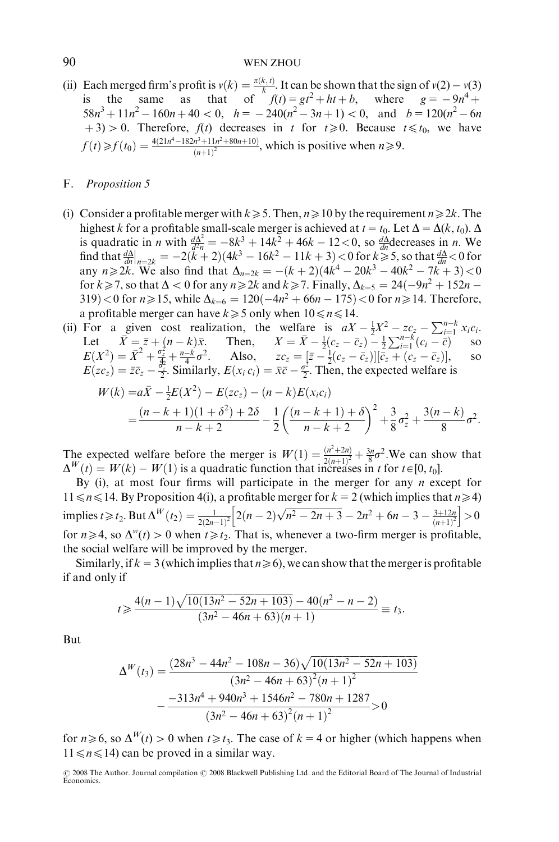### 90 WEN ZHOU

(ii) Each merged firm's profit is  $v(k) = \frac{\pi(k, t)}{k}$ . It can be shown that the sign of  $v(2) - v(3)$ is the same as that of  $f(t) = gt^2 + ht + b$ , where  $g = -9n^4 +$  $58n^3 + 11n^2 - 160n + 40 < 0$ ,  $h = -240(n^2 - 3n + 1) < 0$ , and  $b = 120(n^2 - 6n)$  $(1+3) > 0$ . Therefore,  $f(t)$  decreases in t for  $t \ge 0$ . Because  $t \le t_0$ , we have  $f(t) \geq f(t_0) = \frac{4(21n^4 - 182n^3 + 11n^2 + 80n + 10)}{(n+1)^2}$  $\frac{n^2+11n^2+80n+10!}{(n+1)^2}$ , which is positive when  $n\geq 9$ .

#### F. Proposition 5

- (i) Consider a profitable merger with  $k\geq 5$ . Then,  $n\geq 10$  by the requirement  $n\geq 2k$ . The highest k for a profitable small-scale merger is achieved at  $t = t_0$ . Let  $\Delta = \Delta(k, t_0)$ .  $\Delta$ is quadratic in *n* with  $\frac{d\Delta^2}{d^2n} = -8k^3 + 14k^2 + 46k - 12 < 0$ , so  $\frac{d\Delta}{dn}$  decreases in *n*. We find that  $\frac{d\Delta}{dn}$  $\int_{n=2k}^{2\pi}$  = -2(k+2)(4k<sup>3</sup> - 16k<sup>2</sup> - 11k + 3) < 0 for k > 5, so that  $\frac{d\Delta}{dn}$  < 0 for any  $n \ge 2k$ . We also find that  $\Delta_{n=2k} = -(k+2)(4k^4 - 20k^3 - 40k^2 - 7k + 3) < 0$ for  $k \ge 7$ , so that  $\Delta < 0$  for any  $n \ge 2k$  and  $k \ge 7$ . Finally,  $\Delta_{k=5} = 24(-9n^2 + 152n - 152n)$ 319) < 0 for *n* ≥ 15, while  $\Delta_{k=6} = 120(-4n^2 + 66n - 175)$  < 0 for *n* ≥ 14. Therefore, a profitable merger can have  $k \ge 5$  only when  $10 \le n \le 14$ .
- (ii) For a given cost realization, the welfare is  $aX \frac{1}{2}X^2 zc_z \sum_{i=1}^{n-k} x_ic_i$ . Let  $\overline{X} = \overline{z} + (n - k)\overline{x}$ . Then,  $X = \overline{X} - \frac{1}{2}(c_z - \overline{c}_z) - \frac{1}{2}\sum_{i=1}^{n-k} (c_i - \overline{c})$  so  $E(X^2) = \overline{X}^2 + \frac{a}{2} + \frac{n-k}{4}\sigma^2$ . Also,  $zc_z = [\overline{z} - \frac{1}{2}(c_z - \overline{c}_z)][\overline{c}_z + (c_z - \overline{c}_z)],$  so  $E(zc_z) = \overline{z}\overline{c}_z - \frac{\overline{\sigma}_z^2}{2}$ . Similarly,  $E(x_i c_i) = \overline{x}\overline{c} - \frac{\sigma^2}{2}$ . Then, the expected welfare is

$$
W(k) = a\overline{X} - \frac{1}{2}E(X^2) - E(zc_z) - (n - k)E(x_ic_i)
$$
  
= 
$$
\frac{(n - k + 1)(1 + \delta^2) + 2\delta}{n - k + 2} - \frac{1}{2}\left(\frac{(n - k + 1) + \delta}{n - k + 2}\right)^2 + \frac{3}{8}\sigma_z^2 + \frac{3(n - k)}{8}\sigma^2.
$$

The expected welfare before the merger is  $W(1) = \frac{(n^2+2n)}{2(n+1)^2} + \frac{3n}{8}\sigma^2$ . We can show that  $\Delta^W(t) = W(k) - W(1)$  is a quadratic function that increases in t for  $t \in [0, t_0]$ .

By (i), at most four firms will participate in the merger for any  $n$  except for  $11 \le n \le 14$ . By Proposition 4(i), a profitable merger for  $k = 2$  (which implies that  $n \ge 4$ ) implies  $t \ge t_2$ . But  $\Delta^W(t_2) = \frac{1}{2(2n-1)^2} \Big[ 2(n-2)\sqrt{n^2-2n+3} - 2n^2 + 6n - 3 - \frac{3+12n}{(n+1)^2} \Big] > 0$ for  $n\geq 4$ , so  $\Delta^{w}(t)>0$  when  $t\geq t_2$ . That is, whenever a two-firm merger is profitable, the social welfare will be improved by the merger.

Similarly, if  $k = 3$  (which implies that  $n \ge 6$ ), we can show that the merger is profitable if and only if

$$
t \geq \frac{4(n-1)\sqrt{10(13n^2-52n+103)}-40(n^2-n-2)}{(3n^2-46n+63)(n+1)} \equiv t_3.
$$

But

$$
\Delta^{W}(t_3) = \frac{(28n^3 - 44n^2 - 108n - 36)\sqrt{10(13n^2 - 52n + 103)}}{(3n^2 - 46n + 63)^2(n + 1)^2}
$$

$$
-\frac{-313n^4 + 940n^3 + 1546n^2 - 780n + 1287}{(3n^2 - 46n + 63)^2(n + 1)^2} > 0
$$

for  $n\geq 6$ , so  $\Delta^W(t)>0$  when  $t\geq t_3$ . The case of  $k = 4$  or higher (which happens when  $11 \le n \le 14$ ) can be proved in a similar way.

<sup>© 2008</sup> The Author. Journal compilation © 2008 Blackwell Publishing Ltd. and the Editorial Board of The Journal of Industrial<br>Economics.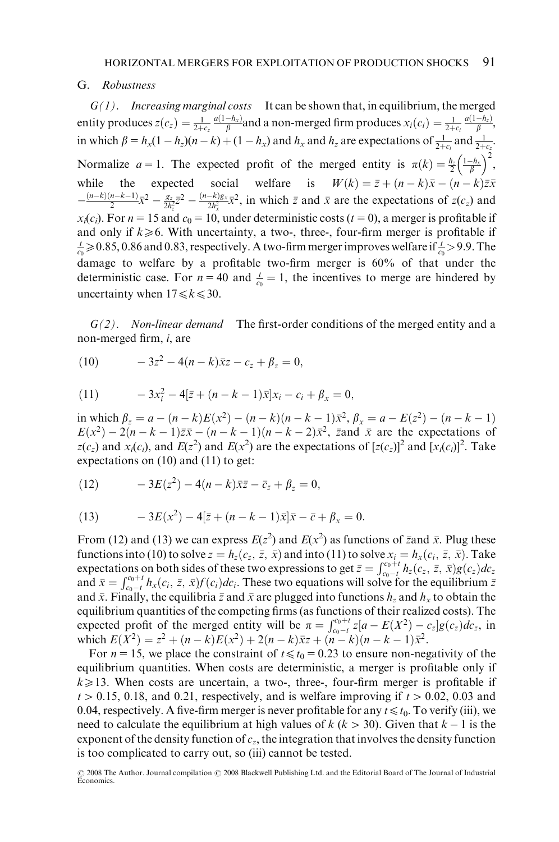#### G. Robustness

 $G(1)$ . Increasing marginal costs It can be shown that, in equilibrium, the merged entity produces  $z(c_z) = \frac{1}{2+c_z} \frac{a(1-h_x)}{\beta}$ and a non-merged firm produces  $x_i(c_i) = \frac{1}{2+c_i} \frac{a(1-h_z)}{\beta}$ in which  $\beta = h_x(1 - h_z)(n - k) + (1 - h_x)$  and  $h_x$  and  $h_z$  are expectations of  $\frac{1}{2 + c_i}$  and  $\frac{1}{2 + c_z}$ . Normalize  $a = 1$ . The expected profit of the merged entity is  $\pi(k) = \frac{h}{2} \left( \frac{1 - h_x}{\beta} \right)$  $\left(\frac{1-h_x}{\beta}\right)^2$ , while the expected social welfare is  $W(k) = \bar{z} + (n - k)\bar{x} - (n - k)\bar{z}\bar{x}$  $-\frac{(n-k)(n-k-1)}{2}\bar{x}^2 - \frac{g_z}{2h_z^2} = \frac{(n-k)g_x}{2h_x^2}\bar{x}^2$ , in which  $\bar{z}$  and  $\bar{x}$  are the expectations of  $z(c_z)$  and  $x_i(c_i)$ . For  $n = 15$  and  $c_0 = 10$ , under deterministic costs ( $t = 0$ ), a merger is profitable if and only if  $k \ge 6$ . With uncertainty, a two-, three-, four-firm merger is profitable if  $\frac{t}{c_0} \ge 0.85, 0.86$  and 0.83, respectively. A two-firm merger improves welfare if  $\frac{t}{c_0} > 9.9$ . The damage to welfare by a profitable two-firm merger is 60% of that under the deterministic case. For  $n = 40$  and  $\frac{t}{c_0} = 1$ , the incentives to merge are hindered by uncertainty when  $17 \le k \le 30$ .

 $G(2)$ . Non-linear demand The first-order conditions of the merged entity and a non-merged firm, i, are

(10) 
$$
-3z^2 - 4(n-k)\bar{x}z - c_z + \beta_z = 0,
$$

(11) 
$$
-3x_i^2 - 4[\bar{z} + (n-k-1)\bar{x}]x_i - c_i + \beta_x = 0,
$$

in which  $\beta_z = a - (n - k)E(x^2) - (n - k)(n - k - 1)\bar{x}^2$ ,  $\beta_x = a - E(z^2) - (n - k - 1)$  $E(x^2) - 2(n - k - 1)\overline{z} - (n - k - 1)(n - k - 2)\overline{x}^2$ , zand  $\overline{x}$  are the expectations of  $z(c_z)$  and  $x_i(c_i)$ , and  $E(z^2)$  and  $E(x^2)$  are the expectations of  $[z(c_z)]^2$  and  $[x_i(c_i)]^2$ . Take expectations on (10) and (11) to get:

(12) 
$$
-3E(z^2) - 4(n-k)\bar{z}\bar{z} - \bar{c}_z + \beta_z = 0,
$$

(13) 
$$
-3E(x^2) - 4[\bar{z} + (n-k-1)\bar{x}]\bar{x} - \bar{c} + \beta_x = 0.
$$

From (12) and (13) we can express  $E(z^2)$  and  $E(x^2)$  as functions of zand  $\bar{x}$ . Plug these functions into (10) to solve  $z = h_z(c_z, \bar{z}, \bar{x})$  and into (11) to solve  $x_i = h_x(c_i, \bar{z}, \bar{x})$ . Take<br>expectations on both sides of these two expressions to get  $\bar{z} = \int_{c_0-t}^{c_0+t} h_z(c_z, \bar{z}, \bar{x}) g(c_z) dz_z$ and  $\bar{x} = \int_{c_0-t}^{c_0+t} h_x(c_i, \bar{z}, \bar{x}) f(c_i) dc_i$ . These two equations will solve for the equilibrium  $\bar{z}$ and  $\bar{x}$ . Finally, the equilibria  $\bar{z}$  and  $\bar{x}$  are plugged into functions  $h_z$  and  $h_x$  to obtain the equilibrium quantities of the competing firms (as functions of their realized costs). The expected profit of the merged entity will be  $\pi = \int_{c_0 - t}^{c_0 + t} z[a - E(X^2) - c_z]g(c_z)dc_z$ , in which  $E(X^2) = z^2 + (n - k)E(x^2) + 2(n - k)\bar{x}z + (n - k)(n - k - 1)\bar{x}^2$ .

For  $n = 15$ , we place the constraint of  $t \le t_0 = 0.23$  to ensure non-negativity of the equilibrium quantities. When costs are deterministic, a merger is profitable only if  $k \ge 13$ . When costs are uncertain, a two-, three-, four-firm merger is profitable if  $t > 0.15$ , 0.18, and 0.21, respectively, and is welfare improving if  $t > 0.02$ , 0.03 and 0.04, respectively. A five-firm merger is never profitable for any  $t \leq t_0$ . To verify (iii), we need to calculate the equilibrium at high values of  $k (k > 30)$ . Given that  $k - 1$  is the exponent of the density function of  $c_z$ , the integration that involves the density function is too complicated to carry out, so (iii) cannot be tested.

<sup>© 2008</sup> The Author. Journal compilation © 2008 Blackwell Publishing Ltd. and the Editorial Board of The Journal of Industrial<br>Economics.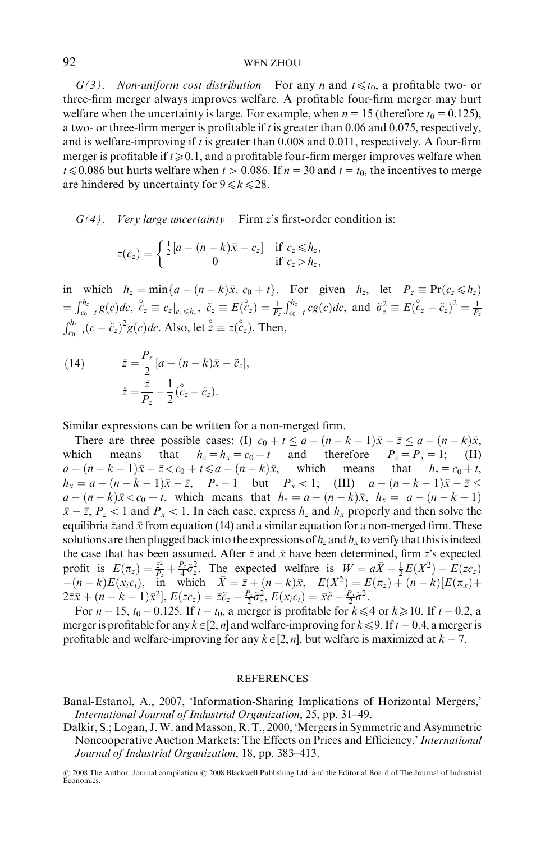#### 92 WEN ZHOU

 $G(3)$ . Non-uniform cost distribution For any n and  $t \leq t_0$ , a profitable two- or three-firm merger always improves welfare. A profitable four-firm merger may hurt welfare when the uncertainty is large. For example, when  $n = 15$  (therefore  $t_0 = 0.125$ ), a two- or three-firm merger is profitable if  $t$  is greater than 0.06 and 0.075, respectively, and is welfare-improving if t is greater than  $0.008$  and  $0.011$ , respectively. A four-firm merger is profitable if  $t \ge 0.1$ , and a profitable four-firm merger improves welfare when  $t \le 0.086$  but hurts welfare when  $t > 0.086$ . If  $n = 30$  and  $t = t_0$ , the incentives to merge are hindered by uncertainty for  $9 \le k \le 28$ .

 $G(4)$ . Very large uncertainty Firm z's first-order condition is:

$$
z(c_z) = \begin{cases} \frac{1}{2}[a - (n-k)\bar{x} - c_z] & \text{if } c_z \le h_z, \\ 0 & \text{if } c_z > h_z, \end{cases}
$$

in which  $h_z = \min\{a - (n - k)\bar{x}, c_0 + t\}$ . For given  $h_z$ , let  $P_z \equiv \Pr(c_z \le h_z)$  $=\int_{c_0-t}^{h_z} g(c)dc, \quad c_z \equiv c_z|_{c_z \leq h_z}, \quad \tilde{c}_z \equiv E(\overset{\circ}{c}_z) = \frac{1}{P_z}\int_{c_0-t}^{h_z} cg(c)dc, \text{ and } \quad \tilde{\sigma}_z^2 \equiv E(\overset{\circ}{c}_z - \tilde{c}_z)^2 = \frac{1}{P_z}$  $\int_{c_0-t}^{h_z} (c - \tilde{c}_z)^2 g(c)dc$ . Also, let  $\overset{\circ}{z} \equiv z(\overset{\circ}{c}_z)$ . Then,

(14)  $\bar{z} = \frac{P_z}{2} [a - (n - k)\bar{x} - \tilde{c}_z],$  $\dot{z} = \frac{\bar{z}}{P_z} - \frac{1}{2}$  $rac{1}{2}(\overset{\circ}{c}_z-\overset{\circ}{c}_z).$ 

Similar expressions can be written for a non-merged firm.

There are three possible cases: (I)  $c_0 + t \le a - (n - k - 1)\overline{x} - \overline{z} \le a - (n - k)\overline{x}$ , which means that  $h_z = h_x = c_0 + t$  and therefore  $P_z = P_x = 1$ ; (II)  $a - (n - k - 1)\bar{x} - \bar{z} < c_0 + t \le a - (n - k)\bar{x}$ , which means that  $h_z = c_0 + t$ ,  $h_x = a - (n - k - 1)\bar{x} - \bar{z}$ ,  $P_z = 1$  but  $P_x < 1$ ; (III)  $a - (n - k - 1)\bar{x} - \bar{z} \le$  $a - (n - k)\bar{x} < c_0 + t$ , which means that  $h_z = a - (n - k)\bar{x}$ ,  $h_x = a - (n - k - 1)$  $\bar{x} - \bar{z}$ ,  $P_z < 1$  and  $P_x < 1$ . In each case, express  $h_z$  and  $h_x$  properly and then solve the equilibria  $\bar{z}$  and  $\bar{x}$  from equation (14) and a similar equation for a non-merged firm. These solutions are then plugged back into the expressions of  $h_z$  and  $h_x$  to verify that this is indeed the case that has been assumed. After  $\bar{z}$  and  $\bar{x}$  have been determined, firm z's expected profit is  $E(\pi_z) = \frac{\bar{z}^2}{P_z} + \frac{P_z}{4}\tilde{\sigma}_z^2$ . The expected welfare is  $W = a\bar{X} - \frac{1}{2}E(X^2) - E(zc_z)$  $-(n-k)E(x_i c_i)$ , in which  $\bar{X} = \bar{z} + (n-k)\bar{x}$ ,  $E(X^2) = E(\pi_z) + (n-k)[E(\pi_x) +$  $2\bar{z}\bar{x} + (n-k-1)\bar{x}^2$ ,  $E(zc_z) = \bar{z}\tilde{c}_z - \frac{P_z}{2}\tilde{\sigma}_z^2$ ,  $E(x_ic_i) = \bar{x}\tilde{c} - \frac{P_x}{2}\tilde{\sigma}^2$ .

For  $n = 15$ ,  $t_0 = 0.125$ . If  $t = t_0$ , a merger is profitable for  $k \le 4$  or  $k \ge 10$ . If  $t = 0.2$ , a merger is profitable for any  $k\in[2, n]$  and welfare-improving for  $k\leq 9$ . If  $t = 0.4$ , a merger is profitable and welfare-improving for any  $k \in [2, n]$ , but welfare is maximized at  $k = 7$ .

#### **REFERENCES**

Banal-Estanol, A., 2007, 'Information-Sharing Implications of Horizontal Mergers,' International Journal of Industrial Organization, 25, pp. 31–49.

Dalkir, S.; Logan, J.W. and Masson, R.T., 2000, 'Mergers in Symmetric and Asymmetric Noncooperative Auction Markets: The Effects on Prices and Efficiency,' International Journal of Industrial Organization, 18, pp. 383–413.

<sup>© 2008</sup> The Author. Journal compilation © 2008 Blackwell Publishing Ltd. and the Editorial Board of The Journal of Industrial<br>Economics.